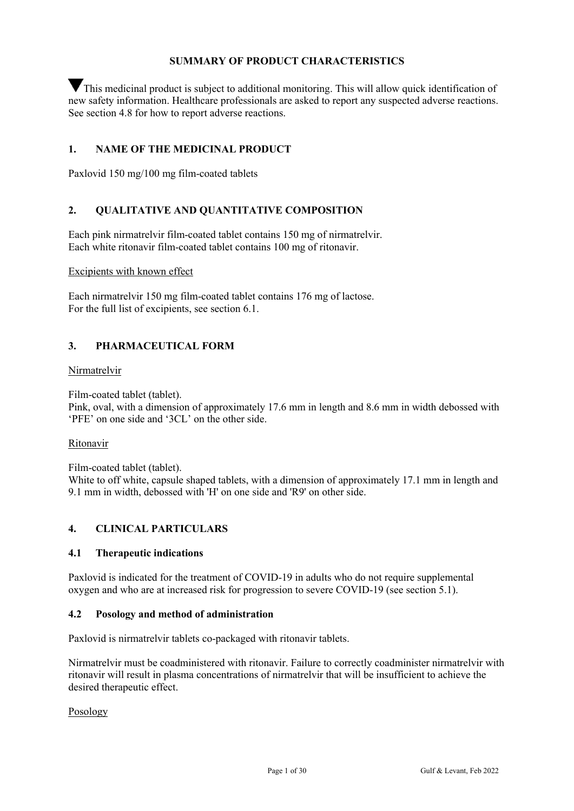# **SUMMARY OF PRODUCT CHARACTERISTICS**

This medicinal product is subject to additional monitoring. This will allow quick identification of new safety information. Healthcare professionals are asked to report any suspected adverse reactions. See section 4.8 for how to report adverse reactions.

# **1. NAME OF THE MEDICINAL PRODUCT**

Paxlovid 150 mg/100 mg film-coated tablets

# **2. QUALITATIVE AND QUANTITATIVE COMPOSITION**

Each pink nirmatrelvir film-coated tablet contains 150 mg of nirmatrelvir. Each white ritonavir film-coated tablet contains 100 mg of ritonavir.

#### Excipients with known effect

Each nirmatrelvir 150 mg film-coated tablet contains 176 mg of lactose. For the full list of excipients, see section 6.1.

# **3. PHARMACEUTICAL FORM**

#### Nirmatrelvir

Film-coated tablet (tablet).

Pink, oval, with a dimension of approximately 17.6 mm in length and 8.6 mm in width debossed with 'PFE' on one side and '3CL' on the other side.

#### Ritonavir

Film-coated tablet (tablet).

White to off white, capsule shaped tablets, with a dimension of approximately 17.1 mm in length and 9.1 mm in width, debossed with 'H' on one side and 'R9' on other side.

# **4. CLINICAL PARTICULARS**

# **4.1 Therapeutic indications**

Paxlovid is indicated for the treatment of COVID-19 in adults who do not require supplemental oxygen and who are at increased risk for progression to severe COVID-19 (see section 5.1).

#### **4.2 Posology and method of administration**

Paxlovid is nirmatrelvir tablets co-packaged with ritonavir tablets.

Nirmatrelvir must be coadministered with ritonavir. Failure to correctly coadminister nirmatrelvir with ritonavir will result in plasma concentrations of nirmatrelvir that will be insufficient to achieve the desired therapeutic effect.

Posology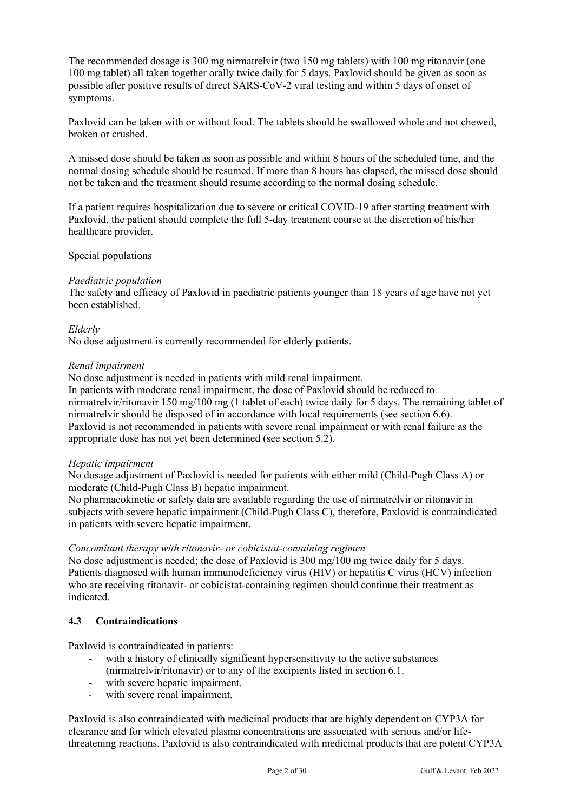The recommended dosage is 300 mg nirmatrelvir (two 150 mg tablets) with 100 mg ritonavir (one 100 mg tablet) all taken together orally twice daily for 5 days. Paxlovid should be given as soon as possible after positive results of direct SARS-CoV-2 viral testing and within 5 days of onset of symptoms.

Paxlovid can be taken with or without food. The tablets should be swallowed whole and not chewed, broken or crushed.

A missed dose should be taken as soon as possible and within 8 hours of the scheduled time, and the normal dosing schedule should be resumed. If more than 8 hours has elapsed, the missed dose should not be taken and the treatment should resume according to the normal dosing schedule.

If a patient requires hospitalization due to severe or critical COVID-19 after starting treatment with Paxlovid, the patient should complete the full 5-day treatment course at the discretion of his/her healthcare provider.

# Special populations

#### *Paediatric population*

The safety and efficacy of Paxlovid in paediatric patients younger than 18 years of age have not yet been established.

#### *Elderly*

No dose adjustment is currently recommended for elderly patients.

#### *Renal impairment*

No dose adjustment is needed in patients with mild renal impairment.

In patients with moderate renal impairment, the dose of Paxlovid should be reduced to nirmatrelvir/ritonavir 150 mg/100 mg (1 tablet of each) twice daily for 5 days. The remaining tablet of nirmatrelvir should be disposed of in accordance with local requirements (see section 6.6). Paxlovid is not recommended in patients with severe renal impairment or with renal failure as the appropriate dose has not yet been determined (see section 5.2).

#### *Hepatic impairment*

No dosage adjustment of Paxlovid is needed for patients with either mild (Child-Pugh Class A) or moderate (Child-Pugh Class B) hepatic impairment.

No pharmacokinetic or safety data are available regarding the use of nirmatrelvir or ritonavir in subjects with severe hepatic impairment (Child-Pugh Class C), therefore, Paxlovid is contraindicated in patients with severe hepatic impairment.

#### *Concomitant therapy with ritonavir- or cobicistat-containing regimen*

No dose adjustment is needed; the dose of Paxlovid is 300 mg/100 mg twice daily for 5 days. Patients diagnosed with human immunodeficiency virus (HIV) or hepatitis C virus (HCV) infection who are receiving ritonavir- or cobicistat-containing regimen should continue their treatment as indicated.

# **4.3 Contraindications**

Paxlovid is contraindicated in patients:

- with a history of clinically significant hypersensitivity to the active substances (nirmatrelvir/ritonavir) or to any of the excipients listed in section 6.1.
- with severe hepatic impairment.
- with severe renal impairment.

Paxlovid is also contraindicated with medicinal products that are highly dependent on CYP3A for clearance and for which elevated plasma concentrations are associated with serious and/or lifethreatening reactions. Paxlovid is also contraindicated with medicinal products that are potent CYP3A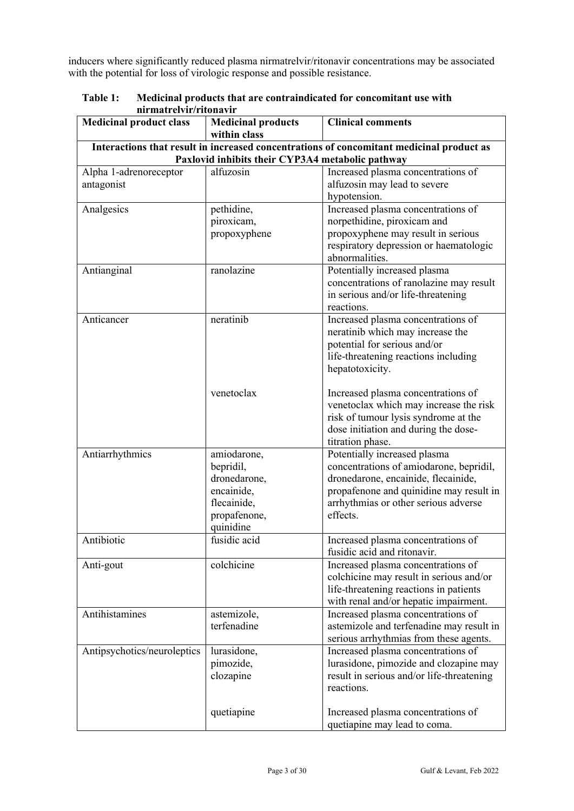inducers where significantly reduced plasma nirmatrelvir/ritonavir concentrations may be associated with the potential for loss of virologic response and possible resistance.

| <u>mi mau vivn/ritonavn</u><br><b>Medicinal product class</b>                                                                                | <b>Medicinal products</b> | <b>Clinical comments</b>                  |  |
|----------------------------------------------------------------------------------------------------------------------------------------------|---------------------------|-------------------------------------------|--|
|                                                                                                                                              | within class              |                                           |  |
|                                                                                                                                              |                           |                                           |  |
| Interactions that result in increased concentrations of concomitant medicinal product as<br>Paxlovid inhibits their CYP3A4 metabolic pathway |                           |                                           |  |
| Alpha 1-adrenoreceptor                                                                                                                       | alfuzosin                 | Increased plasma concentrations of        |  |
| antagonist                                                                                                                                   |                           | alfuzosin may lead to severe              |  |
|                                                                                                                                              |                           | hypotension.                              |  |
| Analgesics                                                                                                                                   | pethidine,                | Increased plasma concentrations of        |  |
|                                                                                                                                              | piroxicam,                | norpethidine, piroxicam and               |  |
|                                                                                                                                              | propoxyphene              | propoxyphene may result in serious        |  |
|                                                                                                                                              |                           | respiratory depression or haematologic    |  |
|                                                                                                                                              |                           | abnormalities.                            |  |
| Antianginal                                                                                                                                  | ranolazine                | Potentially increased plasma              |  |
|                                                                                                                                              |                           | concentrations of ranolazine may result   |  |
|                                                                                                                                              |                           | in serious and/or life-threatening        |  |
|                                                                                                                                              |                           | reactions.                                |  |
| Anticancer                                                                                                                                   | neratinib                 | Increased plasma concentrations of        |  |
|                                                                                                                                              |                           | neratinib which may increase the          |  |
|                                                                                                                                              |                           | potential for serious and/or              |  |
|                                                                                                                                              |                           |                                           |  |
|                                                                                                                                              |                           | life-threatening reactions including      |  |
|                                                                                                                                              |                           | hepatotoxicity.                           |  |
|                                                                                                                                              |                           |                                           |  |
|                                                                                                                                              | venetoclax                | Increased plasma concentrations of        |  |
|                                                                                                                                              |                           | venetoclax which may increase the risk    |  |
|                                                                                                                                              |                           | risk of tumour lysis syndrome at the      |  |
|                                                                                                                                              |                           | dose initiation and during the dose-      |  |
|                                                                                                                                              |                           | titration phase.                          |  |
| Antiarrhythmics                                                                                                                              | amiodarone,               | Potentially increased plasma              |  |
|                                                                                                                                              | bepridil,                 | concentrations of amiodarone, bepridil,   |  |
|                                                                                                                                              | dronedarone,              | dronedarone, encainide, flecainide,       |  |
|                                                                                                                                              | encainide,                | propafenone and quinidine may result in   |  |
|                                                                                                                                              | flecainide,               | arrhythmias or other serious adverse      |  |
|                                                                                                                                              | propafenone,              | effects.                                  |  |
|                                                                                                                                              | quinidine                 |                                           |  |
| Antibiotic                                                                                                                                   | fusidic acid              | Increased plasma concentrations of        |  |
|                                                                                                                                              |                           | fusidic acid and ritonavir.               |  |
| Anti-gout                                                                                                                                    | colchicine                | Increased plasma concentrations of        |  |
|                                                                                                                                              |                           | colchicine may result in serious and/or   |  |
|                                                                                                                                              |                           | life-threatening reactions in patients    |  |
|                                                                                                                                              |                           | with renal and/or hepatic impairment.     |  |
| Antihistamines                                                                                                                               | astemizole,               | Increased plasma concentrations of        |  |
|                                                                                                                                              | terfenadine               | astemizole and terfenadine may result in  |  |
|                                                                                                                                              |                           | serious arrhythmias from these agents.    |  |
| Antipsychotics/neuroleptics                                                                                                                  | lurasidone,               | Increased plasma concentrations of        |  |
|                                                                                                                                              | pimozide,                 | lurasidone, pimozide and clozapine may    |  |
|                                                                                                                                              | clozapine                 | result in serious and/or life-threatening |  |
|                                                                                                                                              |                           | reactions.                                |  |
|                                                                                                                                              |                           |                                           |  |
|                                                                                                                                              | quetiapine                | Increased plasma concentrations of        |  |
|                                                                                                                                              |                           | quetiapine may lead to coma.              |  |

**Table 1: Medicinal products that are contraindicated for concomitant use with nirmatrelvir/ritonavir**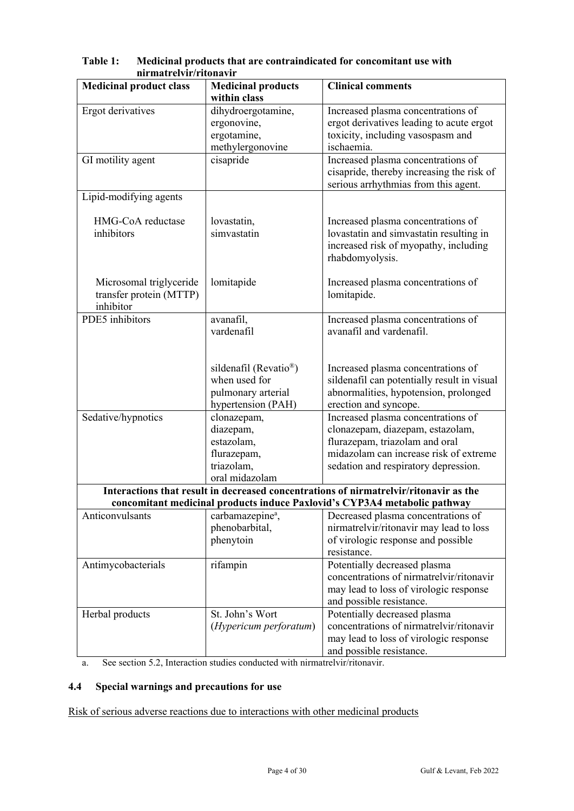| <b>Medicinal product class</b> | <b>Medicinal products</b><br>within class | <b>Clinical comments</b>                                                              |
|--------------------------------|-------------------------------------------|---------------------------------------------------------------------------------------|
|                                |                                           |                                                                                       |
| Ergot derivatives              | dihydroergotamine,                        | Increased plasma concentrations of                                                    |
|                                | ergonovine,                               | ergot derivatives leading to acute ergot                                              |
|                                | ergotamine,                               | toxicity, including vasospasm and                                                     |
|                                | methylergonovine                          | ischaemia.                                                                            |
| GI motility agent              | cisapride                                 | Increased plasma concentrations of                                                    |
|                                |                                           | cisapride, thereby increasing the risk of                                             |
|                                |                                           | serious arrhythmias from this agent.                                                  |
| Lipid-modifying agents         |                                           |                                                                                       |
| HMG-CoA reductase              |                                           |                                                                                       |
| inhibitors                     | lovastatin,<br>simvastatin                | Increased plasma concentrations of                                                    |
|                                |                                           | lovastatin and simvastatin resulting in<br>increased risk of myopathy, including      |
|                                |                                           | rhabdomyolysis.                                                                       |
|                                |                                           |                                                                                       |
| Microsomal triglyceride        | lomitapide                                | Increased plasma concentrations of                                                    |
| transfer protein (MTTP)        |                                           | lomitapide.                                                                           |
| inhibitor                      |                                           |                                                                                       |
| PDE5 inhibitors                | avanafil,                                 | Increased plasma concentrations of                                                    |
|                                | vardenafil                                | avanafil and vardenafil.                                                              |
|                                |                                           |                                                                                       |
|                                |                                           |                                                                                       |
|                                | sildenafil (Revatio <sup>®</sup> )        | Increased plasma concentrations of                                                    |
|                                | when used for                             | sildenafil can potentially result in visual                                           |
|                                | pulmonary arterial                        | abnormalities, hypotension, prolonged                                                 |
|                                | hypertension (PAH)                        | erection and syncope.                                                                 |
| Sedative/hypnotics             | clonazepam,                               | Increased plasma concentrations of                                                    |
|                                | diazepam,                                 | clonazepam, diazepam, estazolam,                                                      |
|                                | estazolam,                                | flurazepam, triazolam and oral                                                        |
|                                | flurazepam,                               | midazolam can increase risk of extreme                                                |
|                                | triazolam,                                | sedation and respiratory depression.                                                  |
|                                | oral midazolam                            |                                                                                       |
|                                |                                           | Interactions that result in decreased concentrations of nirmatrelyir/ritonavir as the |
|                                |                                           | concomitant medicinal products induce Paxlovid's CYP3A4 metabolic pathway             |
| Anticonvulsants                | carbamazepine <sup>a</sup> ,              | Decreased plasma concentrations of                                                    |
|                                | phenobarbital,                            | nirmatrelvir/ritonavir may lead to loss                                               |
|                                | phenytoin                                 | of virologic response and possible                                                    |
|                                |                                           | resistance.                                                                           |
| Antimycobacterials             | rifampin                                  | Potentially decreased plasma                                                          |
|                                |                                           | concentrations of nirmatrelvir/ritonavir                                              |
|                                |                                           | may lead to loss of virologic response                                                |
|                                |                                           | and possible resistance.                                                              |
| Herbal products                | St. John's Wort                           | Potentially decreased plasma                                                          |
|                                | (Hypericum perforatum)                    | concentrations of nirmatrelvir/ritonavir                                              |
|                                |                                           | may lead to loss of virologic response                                                |
|                                |                                           | and possible resistance.                                                              |

**Table 1: Medicinal products that are contraindicated for concomitant use with nirmatrelvir/ritonavir**

a. See section 5.2, Interaction studies conducted with nirmatrelvir/ritonavir.

# **4.4 Special warnings and precautions for use**

Risk of serious adverse reactions due to interactions with other medicinal products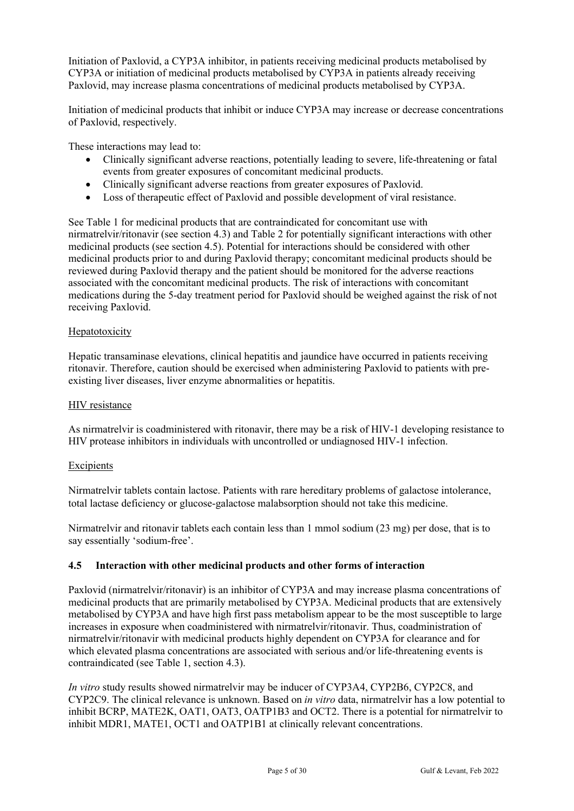Initiation of Paxlovid, a CYP3A inhibitor, in patients receiving medicinal products metabolised by CYP3A or initiation of medicinal products metabolised by CYP3A in patients already receiving Paxlovid, may increase plasma concentrations of medicinal products metabolised by CYP3A.

Initiation of medicinal products that inhibit or induce CYP3A may increase or decrease concentrations of Paxlovid, respectively.

These interactions may lead to:

- Clinically significant adverse reactions, potentially leading to severe, life-threatening or fatal events from greater exposures of concomitant medicinal products.
- Clinically significant adverse reactions from greater exposures of Paxlovid.
- Loss of therapeutic effect of Paxlovid and possible development of viral resistance.

See Table 1 for medicinal products that are contraindicated for concomitant use with nirmatrelvir/ritonavir (see section 4.3) and Table 2 for potentially significant interactions with other medicinal products (see section 4.5). Potential for interactions should be considered with other medicinal products prior to and during Paxlovid therapy; concomitant medicinal products should be reviewed during Paxlovid therapy and the patient should be monitored for the adverse reactions associated with the concomitant medicinal products. The risk of interactions with concomitant medications during the 5-day treatment period for Paxlovid should be weighed against the risk of not receiving Paxlovid.

# Hepatotoxicity

Hepatic transaminase elevations, clinical hepatitis and jaundice have occurred in patients receiving ritonavir. Therefore, caution should be exercised when administering Paxlovid to patients with preexisting liver diseases, liver enzyme abnormalities or hepatitis.

#### HIV resistance

As nirmatrelvir is coadministered with ritonavir, there may be a risk of HIV-1 developing resistance to HIV protease inhibitors in individuals with uncontrolled or undiagnosed HIV-1 infection.

#### Excipients

Nirmatrelvir tablets contain lactose. Patients with rare hereditary problems of galactose intolerance, total lactase deficiency or glucose-galactose malabsorption should not take this medicine.

Nirmatrelvir and ritonavir tablets each contain less than 1 mmol sodium (23 mg) per dose, that is to say essentially 'sodium-free'.

# **4.5 Interaction with other medicinal products and other forms of interaction**

Paxlovid (nirmatrelvir/ritonavir) is an inhibitor of CYP3A and may increase plasma concentrations of medicinal products that are primarily metabolised by CYP3A. Medicinal products that are extensively metabolised by CYP3A and have high first pass metabolism appear to be the most susceptible to large increases in exposure when coadministered with nirmatrelvir/ritonavir. Thus, coadministration of nirmatrelvir/ritonavir with medicinal products highly dependent on CYP3A for clearance and for which elevated plasma concentrations are associated with serious and/or life-threatening events is contraindicated (see Table 1, section 4.3).

*In vitro* study results showed nirmatrelvir may be inducer of CYP3A4, CYP2B6, CYP2C8, and CYP2C9. The clinical relevance is unknown. Based on *in vitro* data, nirmatrelvir has a low potential to inhibit BCRP, MATE2K, OAT1, OAT3, OATP1B3 and OCT2. There is a potential for nirmatrelvir to inhibit MDR1, MATE1, OCT1 and OATP1B1 at clinically relevant concentrations.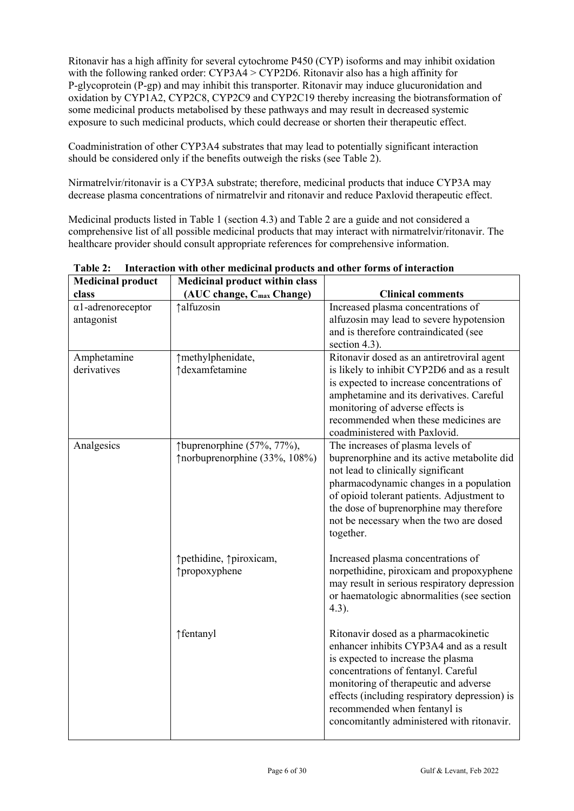Ritonavir has a high affinity for several cytochrome P450 (CYP) isoforms and may inhibit oxidation with the following ranked order:  $CYP3A4 > CYP2D6$ . Ritonavir also has a high affinity for P-glycoprotein (P-gp) and may inhibit this transporter. Ritonavir may induce glucuronidation and oxidation by CYP1A2, CYP2C8, CYP2C9 and CYP2C19 thereby increasing the biotransformation of some medicinal products metabolised by these pathways and may result in decreased systemic exposure to such medicinal products, which could decrease or shorten their therapeutic effect.

Coadministration of other CYP3A4 substrates that may lead to potentially significant interaction should be considered only if the benefits outweigh the risks (see Table 2).

Nirmatrelvir/ritonavir is a CYP3A substrate; therefore, medicinal products that induce CYP3A may decrease plasma concentrations of nirmatrelvir and ritonavir and reduce Paxlovid therapeutic effect.

Medicinal products listed in Table 1 (section 4.3) and Table 2 are a guide and not considered a comprehensive list of all possible medicinal products that may interact with nirmatrelvir/ritonavir. The healthcare provider should consult appropriate references for comprehensive information.

| <b>Medicinal product</b>                | <b>Medicinal product within class</b>                        |                                                                                                                                                                                                                                                                                                                                       |
|-----------------------------------------|--------------------------------------------------------------|---------------------------------------------------------------------------------------------------------------------------------------------------------------------------------------------------------------------------------------------------------------------------------------------------------------------------------------|
| class                                   | (AUC change, C <sub>max</sub> Change)                        | <b>Clinical comments</b>                                                                                                                                                                                                                                                                                                              |
| $\alpha$ 1-adrenoreceptor<br>antagonist | <i><u><b>†alfuzosin</b></u></i>                              | Increased plasma concentrations of<br>alfuzosin may lead to severe hypotension<br>and is therefore contraindicated (see<br>section 4.3).                                                                                                                                                                                              |
| Amphetamine<br>derivatives              | ↑methylphenidate,<br>↑dexamfetamine                          | Ritonavir dosed as an antiretroviral agent<br>is likely to inhibit CYP2D6 and as a result<br>is expected to increase concentrations of<br>amphetamine and its derivatives. Careful<br>monitoring of adverse effects is<br>recommended when these medicines are<br>coadministered with Paxlovid.                                       |
| Analgesics                              | †buprenorphine (57%, 77%),<br>↑ norbuprenorphine (33%, 108%) | The increases of plasma levels of<br>buprenorphine and its active metabolite did<br>not lead to clinically significant<br>pharmacodynamic changes in a population<br>of opioid tolerant patients. Adjustment to<br>the dose of buprenorphine may therefore<br>not be necessary when the two are dosed<br>together.                    |
|                                         | ↑pethidine, ↑piroxicam,<br>↑propoxyphene                     | Increased plasma concentrations of<br>norpethidine, piroxicam and propoxyphene<br>may result in serious respiratory depression<br>or haematologic abnormalities (see section<br>$4.3$ ).                                                                                                                                              |
|                                         | ↑fentanyl                                                    | Ritonavir dosed as a pharmacokinetic<br>enhancer inhibits CYP3A4 and as a result<br>is expected to increase the plasma<br>concentrations of fentanyl. Careful<br>monitoring of therapeutic and adverse<br>effects (including respiratory depression) is<br>recommended when fentanyl is<br>concomitantly administered with ritonavir. |

**Table 2: Interaction with other medicinal products and other forms of interaction**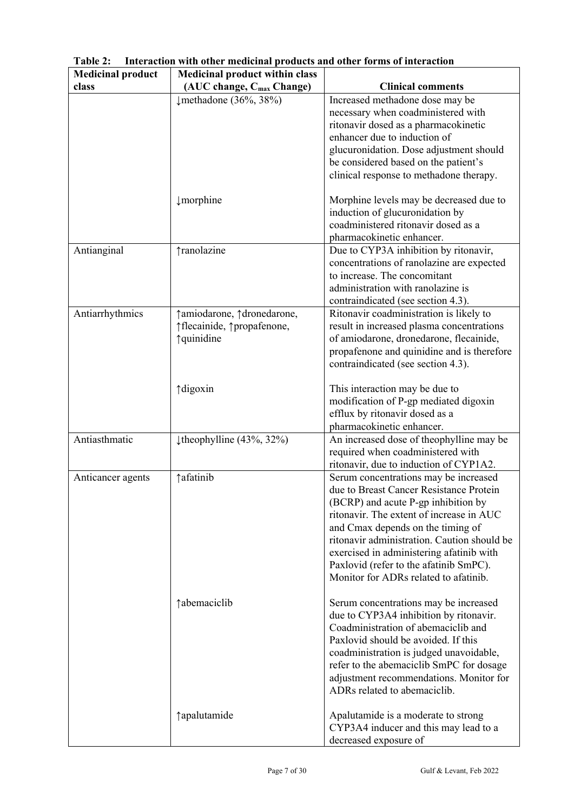| <b>Medicinal product</b> | <b>Medicinal product within class</b> |                                                                               |
|--------------------------|---------------------------------------|-------------------------------------------------------------------------------|
| class                    | (AUC change, C <sub>max</sub> Change) | <b>Clinical comments</b>                                                      |
|                          | $\downarrow$ methadone (36%, 38%)     | Increased methadone dose may be                                               |
|                          |                                       | necessary when coadministered with                                            |
|                          |                                       | ritonavir dosed as a pharmacokinetic                                          |
|                          |                                       | enhancer due to induction of                                                  |
|                          |                                       | glucuronidation. Dose adjustment should                                       |
|                          |                                       | be considered based on the patient's                                          |
|                          |                                       | clinical response to methadone therapy.                                       |
|                          | $\downarrow$ morphine                 | Morphine levels may be decreased due to                                       |
|                          |                                       | induction of glucuronidation by                                               |
|                          |                                       | coadministered ritonavir dosed as a                                           |
|                          |                                       | pharmacokinetic enhancer.                                                     |
| Antianginal              | ↑ranolazine                           | Due to CYP3A inhibition by ritonavir,                                         |
|                          |                                       | concentrations of ranolazine are expected                                     |
|                          |                                       | to increase. The concomitant                                                  |
|                          |                                       | administration with ranolazine is                                             |
|                          |                                       | contraindicated (see section 4.3).                                            |
| Antiarrhythmics          | ↑amiodarone, ↑dronedarone,            | Ritonavir coadministration is likely to                                       |
|                          | ↑flecainide, ↑propafenone,            | result in increased plasma concentrations                                     |
|                          | ↑quinidine                            | of amiodarone, dronedarone, flecainide,                                       |
|                          |                                       | propafenone and quinidine and is therefore                                    |
|                          |                                       | contraindicated (see section 4.3).                                            |
|                          | ↑ digoxin                             | This interaction may be due to                                                |
|                          |                                       | modification of P-gp mediated digoxin                                         |
|                          |                                       | efflux by ritonavir dosed as a                                                |
|                          |                                       | pharmacokinetic enhancer.                                                     |
| Antiasthmatic            | $\downarrow$ theophylline (43%, 32%)  | An increased dose of theophylline may be                                      |
|                          |                                       | required when coadministered with                                             |
|                          |                                       | ritonavir, due to induction of CYP1A2.                                        |
| Anticancer agents        | ↑afatinib                             | Serum concentrations may be increased                                         |
|                          |                                       | due to Breast Cancer Resistance Protein                                       |
|                          |                                       | (BCRP) and acute P-gp inhibition by                                           |
|                          |                                       | ritonavir. The extent of increase in AUC                                      |
|                          |                                       | and Cmax depends on the timing of                                             |
|                          |                                       | ritonavir administration. Caution should be                                   |
|                          |                                       | exercised in administering afatinib with                                      |
|                          |                                       | Paxlovid (refer to the afatinib SmPC).                                        |
|                          |                                       | Monitor for ADRs related to afatinib.                                         |
|                          |                                       |                                                                               |
|                          | ↑ abemaciclib                         | Serum concentrations may be increased                                         |
|                          |                                       | due to CYP3A4 inhibition by ritonavir.<br>Coadministration of abemaciclib and |
|                          |                                       |                                                                               |
|                          |                                       | Paxlovid should be avoided. If this                                           |
|                          |                                       | coadministration is judged unavoidable,                                       |
|                          |                                       | refer to the abemaciclib SmPC for dosage                                      |
|                          |                                       | adjustment recommendations. Monitor for                                       |
|                          |                                       | ADRs related to abemaciclib.                                                  |
|                          | ↑ apalutamide                         | Apalutamide is a moderate to strong                                           |
|                          |                                       | CYP3A4 inducer and this may lead to a                                         |
|                          |                                       | decreased exposure of                                                         |

**Table 2: Interaction with other medicinal products and other forms of interaction**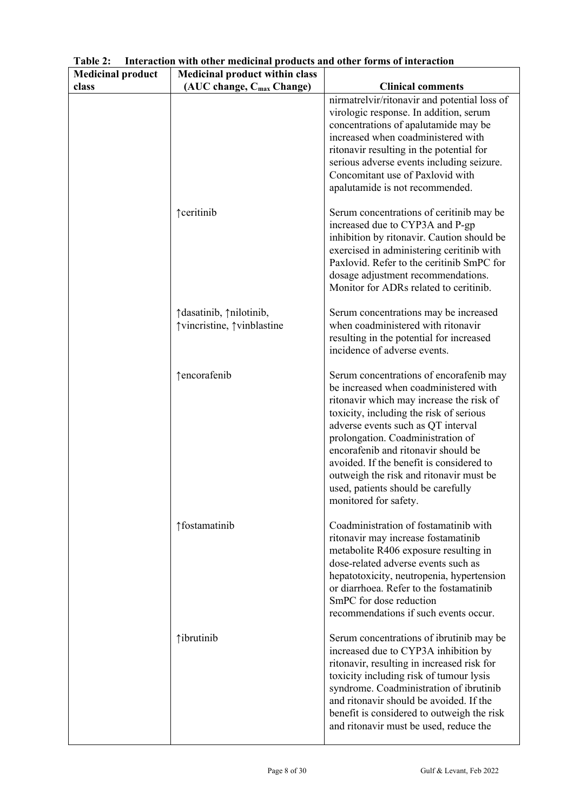| <b>Medicinal product</b> | <b>Medicinal product within class</b>                   |                                                                                                                                                                                                                                                                                                                                                                                                                                                 |
|--------------------------|---------------------------------------------------------|-------------------------------------------------------------------------------------------------------------------------------------------------------------------------------------------------------------------------------------------------------------------------------------------------------------------------------------------------------------------------------------------------------------------------------------------------|
| class                    | (AUC change, C <sub>max</sub> Change)                   | <b>Clinical comments</b>                                                                                                                                                                                                                                                                                                                                                                                                                        |
|                          |                                                         | nirmatrelvir/ritonavir and potential loss of<br>virologic response. In addition, serum<br>concentrations of apalutamide may be<br>increased when coadministered with<br>ritonavir resulting in the potential for<br>serious adverse events including seizure.<br>Concomitant use of Paxlovid with<br>apalutamide is not recommended.                                                                                                            |
|                          | <b>Teeritinib</b>                                       | Serum concentrations of ceritinib may be<br>increased due to CYP3A and P-gp<br>inhibition by ritonavir. Caution should be<br>exercised in administering ceritinib with<br>Paxlovid. Refer to the ceritinib SmPC for<br>dosage adjustment recommendations.<br>Monitor for ADRs related to ceritinib.                                                                                                                                             |
|                          | ↑ dasatinib, ↑ nilotinib,<br>↑vincristine, ↑vinblastine | Serum concentrations may be increased<br>when coadministered with ritonavir<br>resulting in the potential for increased<br>incidence of adverse events.                                                                                                                                                                                                                                                                                         |
|                          | ↑encorafenib                                            | Serum concentrations of encorafenib may<br>be increased when coadministered with<br>ritonavir which may increase the risk of<br>toxicity, including the risk of serious<br>adverse events such as QT interval<br>prolongation. Coadministration of<br>encorafenib and ritonavir should be<br>avoided. If the benefit is considered to<br>outweigh the risk and ritonavir must be<br>used, patients should be carefully<br>monitored for safety. |
|                          | ↑fostamatinib                                           | Coadministration of fostamatinib with<br>ritonavir may increase fostamatinib<br>metabolite R406 exposure resulting in<br>dose-related adverse events such as<br>hepatotoxicity, neutropenia, hypertension<br>or diarrhoea. Refer to the fostamatinib<br>SmPC for dose reduction<br>recommendations if such events occur.                                                                                                                        |
|                          | <i><u><b><u>ibrutinib</u></b></u></i>                   | Serum concentrations of ibrutinib may be<br>increased due to CYP3A inhibition by<br>ritonavir, resulting in increased risk for<br>toxicity including risk of tumour lysis<br>syndrome. Coadministration of ibrutinib<br>and ritonavir should be avoided. If the<br>benefit is considered to outweigh the risk<br>and ritonavir must be used, reduce the                                                                                         |

**Table 2: Interaction with other medicinal products and other forms of interaction**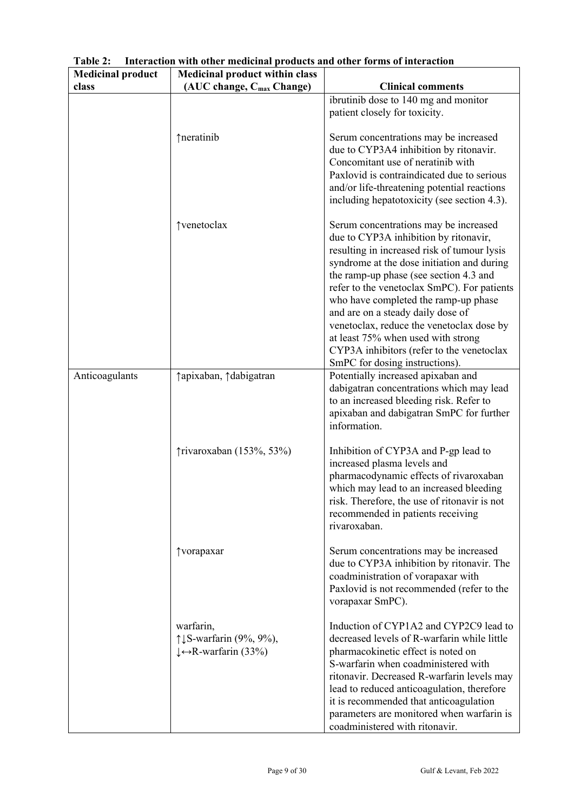| <b>Medicinal product</b> | <b>Medicinal product within class</b>                                                 |                                                                                                                                                                                                                                                                                                                                                                                                                                                                                                                     |
|--------------------------|---------------------------------------------------------------------------------------|---------------------------------------------------------------------------------------------------------------------------------------------------------------------------------------------------------------------------------------------------------------------------------------------------------------------------------------------------------------------------------------------------------------------------------------------------------------------------------------------------------------------|
| class                    | (AUC change, C <sub>max</sub> Change)                                                 | <b>Clinical comments</b>                                                                                                                                                                                                                                                                                                                                                                                                                                                                                            |
|                          |                                                                                       | ibrutinib dose to 140 mg and monitor<br>patient closely for toxicity.                                                                                                                                                                                                                                                                                                                                                                                                                                               |
|                          | ↑neratinib                                                                            | Serum concentrations may be increased<br>due to CYP3A4 inhibition by ritonavir.<br>Concomitant use of neratinib with<br>Paxlovid is contraindicated due to serious<br>and/or life-threatening potential reactions<br>including hepatotoxicity (see section 4.3).                                                                                                                                                                                                                                                    |
|                          | ↑venetoclax                                                                           | Serum concentrations may be increased<br>due to CYP3A inhibition by ritonavir,<br>resulting in increased risk of tumour lysis<br>syndrome at the dose initiation and during<br>the ramp-up phase (see section 4.3 and<br>refer to the venetoclax SmPC). For patients<br>who have completed the ramp-up phase<br>and are on a steady daily dose of<br>venetoclax, reduce the venetoclax dose by<br>at least 75% when used with strong<br>CYP3A inhibitors (refer to the venetoclax<br>SmPC for dosing instructions). |
| Anticoagulants           | ↑apixaban, ↑dabigatran                                                                | Potentially increased apixaban and<br>dabigatran concentrations which may lead<br>to an increased bleeding risk. Refer to<br>apixaban and dabigatran SmPC for further<br>information.                                                                                                                                                                                                                                                                                                                               |
|                          | ↑rivaroxaban (153%, 53%)                                                              | Inhibition of CYP3A and P-gp lead to<br>increased plasma levels and<br>pharmacodynamic effects of rivaroxaban<br>which may lead to an increased bleeding<br>risk. Therefore, the use of ritonavir is not<br>recommended in patients receiving<br>rivaroxaban.                                                                                                                                                                                                                                                       |
|                          | ↑vorapaxar                                                                            | Serum concentrations may be increased<br>due to CYP3A inhibition by ritonavir. The<br>coadministration of vorapaxar with<br>Paxlovid is not recommended (refer to the<br>vorapaxar SmPC).                                                                                                                                                                                                                                                                                                                           |
|                          | warfarin,<br>↑↓S-warfarin (9%, 9%),<br>$\downarrow \leftrightarrow R$ -warfarin (33%) | Induction of CYP1A2 and CYP2C9 lead to<br>decreased levels of R-warfarin while little<br>pharmacokinetic effect is noted on<br>S-warfarin when coadministered with<br>ritonavir. Decreased R-warfarin levels may<br>lead to reduced anticoagulation, therefore<br>it is recommended that anticoagulation<br>parameters are monitored when warfarin is<br>coadministered with ritonavir.                                                                                                                             |

**Table 2: Interaction with other medicinal products and other forms of interaction**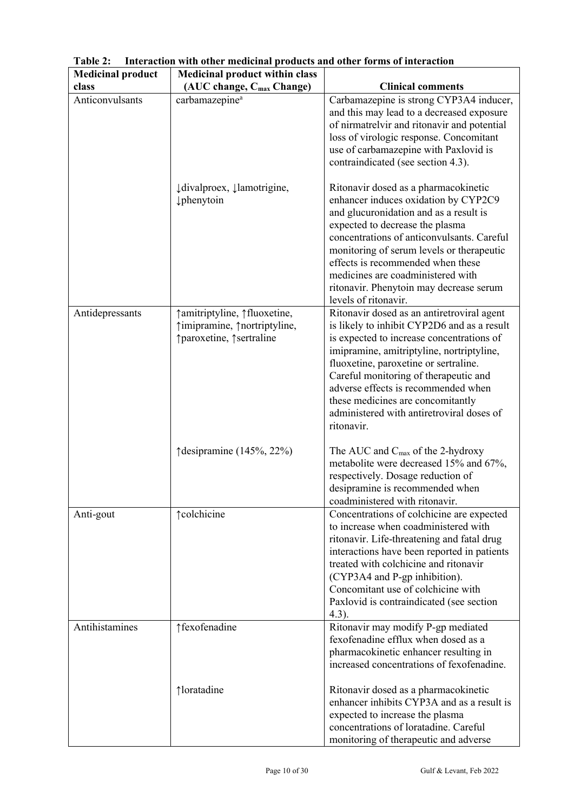| <b>Medicinal product</b> | <b>Medicinal product within class</b>                                                      |                                                                                                                                                                                                                                                                                                                                                                                                              |
|--------------------------|--------------------------------------------------------------------------------------------|--------------------------------------------------------------------------------------------------------------------------------------------------------------------------------------------------------------------------------------------------------------------------------------------------------------------------------------------------------------------------------------------------------------|
| class                    | (AUC change, C <sub>max</sub> Change)                                                      | <b>Clinical comments</b>                                                                                                                                                                                                                                                                                                                                                                                     |
| Anticonvulsants          | carbamazepine <sup>a</sup>                                                                 | Carbamazepine is strong CYP3A4 inducer,                                                                                                                                                                                                                                                                                                                                                                      |
|                          |                                                                                            | and this may lead to a decreased exposure<br>of nirmatrelvir and ritonavir and potential<br>loss of virologic response. Concomitant<br>use of carbamazepine with Paxlovid is<br>contraindicated (see section 4.3).                                                                                                                                                                                           |
|                          | ↓ divalproex, ↓ lamotrigine,<br>phenytoin                                                  | Ritonavir dosed as a pharmacokinetic<br>enhancer induces oxidation by CYP2C9<br>and glucuronidation and as a result is<br>expected to decrease the plasma<br>concentrations of anticonvulsants. Careful<br>monitoring of serum levels or therapeutic<br>effects is recommended when these<br>medicines are coadministered with<br>ritonavir. Phenytoin may decrease serum<br>levels of ritonavir.            |
| Antidepressants          | ↑ amitriptyline, ↑ fluoxetine,<br>↑imipramine, ↑nortriptyline,<br>↑paroxetine, ↑sertraline | Ritonavir dosed as an antiretroviral agent<br>is likely to inhibit CYP2D6 and as a result<br>is expected to increase concentrations of<br>imipramine, amitriptyline, nortriptyline,<br>fluoxetine, paroxetine or sertraline.<br>Careful monitoring of therapeutic and<br>adverse effects is recommended when<br>these medicines are concomitantly<br>administered with antiretroviral doses of<br>ritonavir. |
|                          | ↑ desipramine (145%, 22%)                                                                  | The AUC and $C_{\text{max}}$ of the 2-hydroxy<br>metabolite were decreased 15% and 67%,<br>respectively. Dosage reduction of<br>desipramine is recommended when<br>coadministered with ritonavir.                                                                                                                                                                                                            |
| Anti-gout                | <b>teolchicine</b>                                                                         | Concentrations of colchicine are expected<br>to increase when coadministered with<br>ritonavir. Life-threatening and fatal drug<br>interactions have been reported in patients<br>treated with colchicine and ritonavir<br>(CYP3A4 and P-gp inhibition).<br>Concomitant use of colchicine with<br>Paxlovid is contraindicated (see section<br>(4.3).                                                         |
| Antihistamines           | ↑fexofenadine                                                                              | Ritonavir may modify P-gp mediated<br>fexofenadine efflux when dosed as a<br>pharmacokinetic enhancer resulting in<br>increased concentrations of fexofenadine.                                                                                                                                                                                                                                              |
|                          | ↑loratadine                                                                                | Ritonavir dosed as a pharmacokinetic<br>enhancer inhibits CYP3A and as a result is<br>expected to increase the plasma<br>concentrations of loratadine. Careful<br>monitoring of therapeutic and adverse                                                                                                                                                                                                      |

**Table 2: Interaction with other medicinal products and other forms of interaction**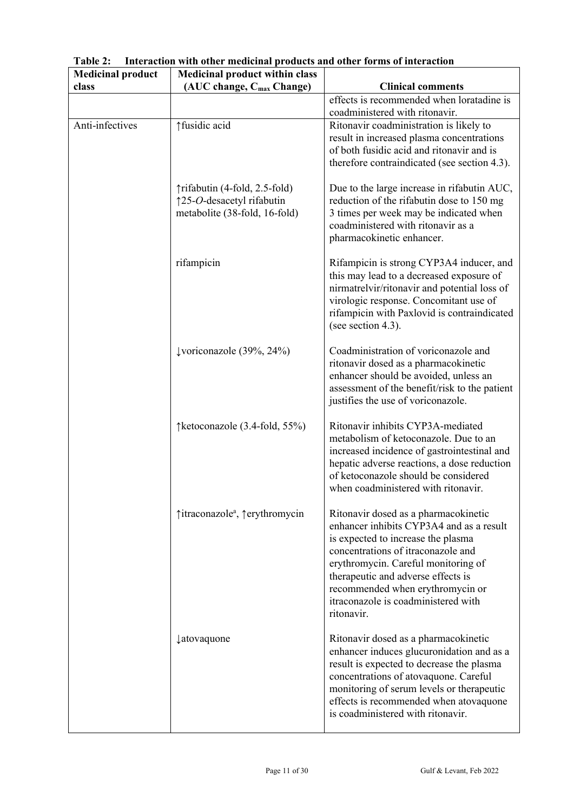| <b>Medicinal product</b> | <b>Medicinal product within class</b>                                                       |                                                                                                                                                                                                                                                                                                                                    |
|--------------------------|---------------------------------------------------------------------------------------------|------------------------------------------------------------------------------------------------------------------------------------------------------------------------------------------------------------------------------------------------------------------------------------------------------------------------------------|
| class                    | (AUC change, C <sub>max</sub> Change)                                                       | <b>Clinical comments</b>                                                                                                                                                                                                                                                                                                           |
|                          |                                                                                             | effects is recommended when loratadine is<br>coadministered with ritonavir.                                                                                                                                                                                                                                                        |
| Anti-infectives          | ↑ fusidic acid                                                                              | Ritonavir coadministration is likely to<br>result in increased plasma concentrations<br>of both fusidic acid and ritonavir and is<br>therefore contraindicated (see section 4.3).                                                                                                                                                  |
|                          | ↑rifabutin (4-fold, 2.5-fold)<br>↑25-O-desacetyl rifabutin<br>metabolite (38-fold, 16-fold) | Due to the large increase in rifabutin AUC,<br>reduction of the rifabutin dose to 150 mg<br>3 times per week may be indicated when<br>coadministered with ritonavir as a<br>pharmacokinetic enhancer.                                                                                                                              |
|                          | rifampicin                                                                                  | Rifampicin is strong CYP3A4 inducer, and<br>this may lead to a decreased exposure of<br>nirmatrelvir/ritonavir and potential loss of<br>virologic response. Concomitant use of<br>rifampicin with Paxlovid is contraindicated<br>(see section 4.3).                                                                                |
|                          | $\downarrow$ voriconazole (39%, 24%)                                                        | Coadministration of voriconazole and<br>ritonavir dosed as a pharmacokinetic<br>enhancer should be avoided, unless an<br>assessment of the benefit/risk to the patient<br>justifies the use of voriconazole.                                                                                                                       |
|                          | ↑ ketoconazole (3.4-fold, 55%)                                                              | Ritonavir inhibits CYP3A-mediated<br>metabolism of ketoconazole. Due to an<br>increased incidence of gastrointestinal and<br>hepatic adverse reactions, a dose reduction<br>of ketoconazole should be considered<br>when coadministered with ritonavir.                                                                            |
|                          | ↑itraconazoleª, ↑erythromycin                                                               | Ritonavir dosed as a pharmacokinetic<br>enhancer inhibits CYP3A4 and as a result<br>is expected to increase the plasma<br>concentrations of itraconazole and<br>erythromycin. Careful monitoring of<br>therapeutic and adverse effects is<br>recommended when erythromycin or<br>itraconazole is coadministered with<br>ritonavir. |
|                          | <i><u><b>‡atovaquone</b></u></i>                                                            | Ritonavir dosed as a pharmacokinetic<br>enhancer induces glucuronidation and as a<br>result is expected to decrease the plasma<br>concentrations of atovaquone. Careful<br>monitoring of serum levels or therapeutic<br>effects is recommended when atovaquone<br>is coadministered with ritonavir.                                |

**Table 2: Interaction with other medicinal products and other forms of interaction**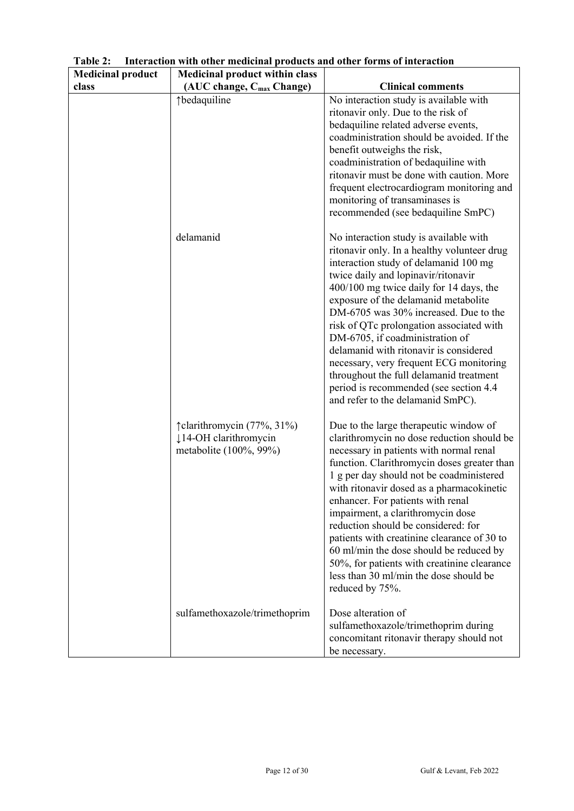| <b>Medicinal product</b> | <b>Medicinal product within class</b>                                          |                                                                                                                                                                                                                                                                                                                                                                                                                                                                                                                                                                                                  |
|--------------------------|--------------------------------------------------------------------------------|--------------------------------------------------------------------------------------------------------------------------------------------------------------------------------------------------------------------------------------------------------------------------------------------------------------------------------------------------------------------------------------------------------------------------------------------------------------------------------------------------------------------------------------------------------------------------------------------------|
| class                    | (AUC change, C <sub>max</sub> Change)                                          | <b>Clinical comments</b>                                                                                                                                                                                                                                                                                                                                                                                                                                                                                                                                                                         |
|                          | ↑bedaquiline                                                                   | No interaction study is available with<br>ritonavir only. Due to the risk of<br>bedaquiline related adverse events,<br>coadministration should be avoided. If the<br>benefit outweighs the risk,<br>coadministration of bedaquiline with<br>ritonavir must be done with caution. More<br>frequent electrocardiogram monitoring and<br>monitoring of transaminases is<br>recommended (see bedaquiline SmPC)                                                                                                                                                                                       |
|                          | delamanid                                                                      | No interaction study is available with<br>ritonavir only. In a healthy volunteer drug<br>interaction study of delamanid 100 mg<br>twice daily and lopinavir/ritonavir<br>400/100 mg twice daily for 14 days, the<br>exposure of the delamanid metabolite<br>DM-6705 was 30% increased. Due to the<br>risk of QTc prolongation associated with<br>DM-6705, if coadministration of<br>delamanid with ritonavir is considered<br>necessary, very frequent ECG monitoring<br>throughout the full delamanid treatment<br>period is recommended (see section 4.4)<br>and refer to the delamanid SmPC). |
|                          | î clarithromycin (77%, 31%)<br>↓14-OH clarithromycin<br>metabolite (100%, 99%) | Due to the large therapeutic window of<br>clarithromycin no dose reduction should be<br>necessary in patients with normal renal<br>function. Clarithromycin doses greater than<br>1 g per day should not be coadministered<br>with ritonavir dosed as a pharmacokinetic<br>enhancer. For patients with renal<br>impairment, a clarithromycin dose<br>reduction should be considered: for<br>patients with creatinine clearance of 30 to<br>60 ml/min the dose should be reduced by<br>50%, for patients with creatinine clearance<br>less than 30 ml/min the dose should be<br>reduced by 75%.   |
|                          | sulfamethoxazole/trimethoprim                                                  | Dose alteration of<br>sulfamethoxazole/trimethoprim during<br>concomitant ritonavir therapy should not<br>be necessary.                                                                                                                                                                                                                                                                                                                                                                                                                                                                          |

**Table 2: Interaction with other medicinal products and other forms of interaction**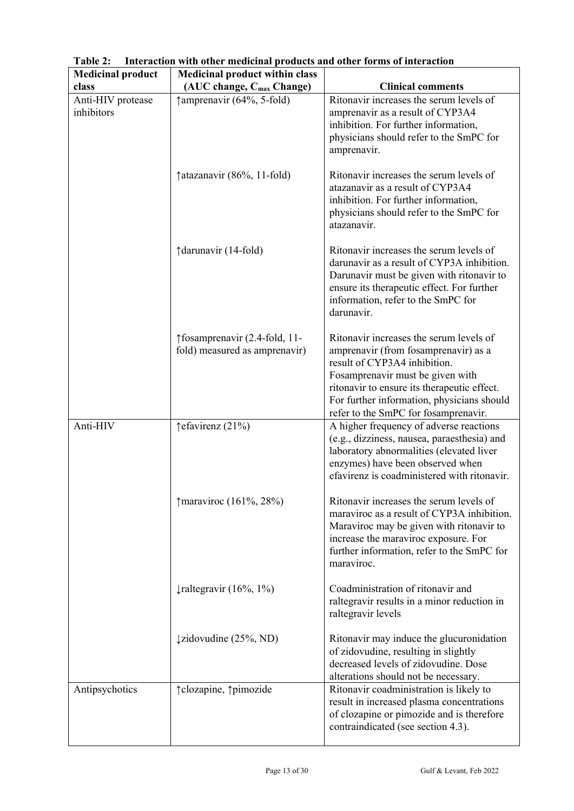| <b>Medicinal product</b>        | <b>Medicinal product within class</b>                          |                                                                                                                                                                                                                                                                                          |
|---------------------------------|----------------------------------------------------------------|------------------------------------------------------------------------------------------------------------------------------------------------------------------------------------------------------------------------------------------------------------------------------------------|
| class                           | (AUC change, C <sub>max</sub> Change)                          | <b>Clinical comments</b>                                                                                                                                                                                                                                                                 |
| Anti-HIV protease<br>inhibitors | ↑ amprenavir (64%, 5-fold)                                     | Ritonavir increases the serum levels of<br>amprenavir as a result of CYP3A4<br>inhibition. For further information,<br>physicians should refer to the SmPC for<br>amprenavir.                                                                                                            |
|                                 | $\uparrow$ atazanavir (86%, 11-fold)                           | Ritonavir increases the serum levels of<br>atazanavir as a result of CYP3A4<br>inhibition. For further information,<br>physicians should refer to the SmPC for<br>atazanavir.                                                                                                            |
|                                 | ↑darunavir (14-fold)                                           | Ritonavir increases the serum levels of<br>darunavir as a result of CYP3A inhibition.<br>Darunavir must be given with ritonavir to<br>ensure its therapeutic effect. For further<br>information, refer to the SmPC for<br>darunavir.                                                     |
|                                 | ↑fosamprenavir (2.4-fold, 11-<br>fold) measured as amprenavir) | Ritonavir increases the serum levels of<br>amprenavir (from fosamprenavir) as a<br>result of CYP3A4 inhibition.<br>Fosamprenavir must be given with<br>ritonavir to ensure its therapeutic effect.<br>For further information, physicians should<br>refer to the SmPC for fosamprenavir. |
| Anti-HIV                        | ↑efavirenz (21%)                                               | A higher frequency of adverse reactions<br>(e.g., dizziness, nausea, paraesthesia) and<br>laboratory abnormalities (elevated liver<br>enzymes) have been observed when<br>efavirenz is coadministered with ritonavir.                                                                    |
|                                 | $\uparrow$ maraviroc (161%, 28%)                               | Ritonavir increases the serum levels of<br>maraviroc as a result of CYP3A inhibition.<br>Maraviroc may be given with ritonavir to<br>increase the maraviroc exposure. For<br>further information, refer to the SmPC for<br>maraviroc.                                                    |
|                                 | $\downarrow$ raltegravir (16%, 1%)                             | Coadministration of ritonavir and<br>raltegravir results in a minor reduction in<br>raltegravir levels                                                                                                                                                                                   |
|                                 | ↓zidovudine (25%, ND)                                          | Ritonavir may induce the glucuronidation<br>of zidovudine, resulting in slightly<br>decreased levels of zidovudine. Dose<br>alterations should not be necessary.                                                                                                                         |
| Antipsychotics                  | ↑ clozapine, ↑ pimozide                                        | Ritonavir coadministration is likely to<br>result in increased plasma concentrations<br>of clozapine or pimozide and is therefore<br>contraindicated (see section 4.3).                                                                                                                  |

**Table 2: Interaction with other medicinal products and other forms of interaction**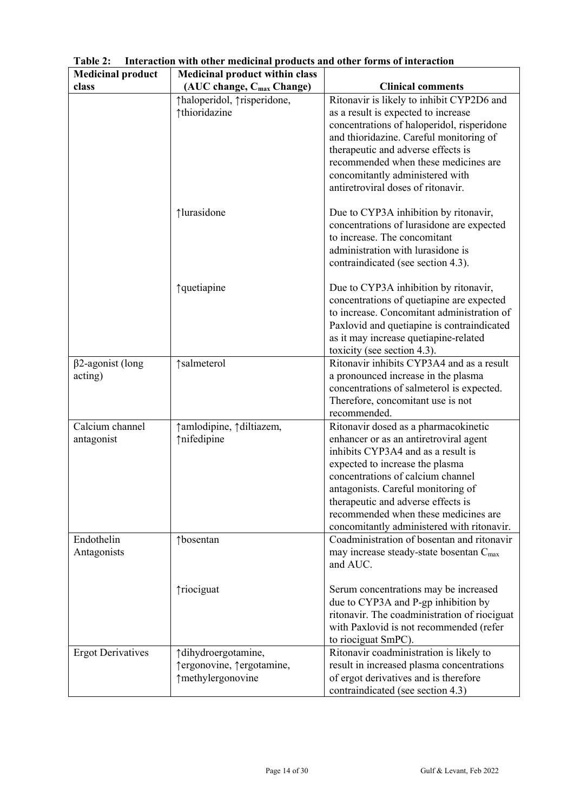| <b>Medicinal product</b> | <b>Medicinal product within class</b>        |                                                                                       |
|--------------------------|----------------------------------------------|---------------------------------------------------------------------------------------|
| class                    | (AUC change, C <sub>max</sub> Change)        | <b>Clinical comments</b>                                                              |
|                          | ↑haloperidol, ↑risperidone,<br>↑thioridazine | Ritonavir is likely to inhibit CYP2D6 and<br>as a result is expected to increase      |
|                          |                                              | concentrations of haloperidol, risperidone<br>and thioridazine. Careful monitoring of |
|                          |                                              | therapeutic and adverse effects is<br>recommended when these medicines are            |
|                          |                                              | concomitantly administered with                                                       |
|                          |                                              | antiretroviral doses of ritonavir.                                                    |
|                          | ↑lurasidone                                  | Due to CYP3A inhibition by ritonavir,<br>concentrations of lurasidone are expected    |
|                          |                                              | to increase. The concomitant                                                          |
|                          |                                              | administration with lurasidone is                                                     |
|                          |                                              | contraindicated (see section 4.3).                                                    |
|                          | ↑quetiapine                                  | Due to CYP3A inhibition by ritonavir,<br>concentrations of quetiapine are expected    |
|                          |                                              | to increase. Concomitant administration of                                            |
|                          |                                              | Paxlovid and quetiapine is contraindicated                                            |
|                          |                                              | as it may increase quetiapine-related                                                 |
|                          |                                              | toxicity (see section 4.3).                                                           |
| $\beta$ 2-agonist (long  | ↑salmeterol                                  | Ritonavir inhibits CYP3A4 and as a result                                             |
| acting)                  |                                              | a pronounced increase in the plasma                                                   |
|                          |                                              | concentrations of salmeterol is expected.                                             |
|                          |                                              | Therefore, concomitant use is not                                                     |
|                          |                                              | recommended.                                                                          |
| Calcium channel          | ↑ amlodipine, ↑ diltiazem,<br>↑nifedipine    | Ritonavir dosed as a pharmacokinetic                                                  |
| antagonist               |                                              | enhancer or as an antiretroviral agent<br>inhibits CYP3A4 and as a result is          |
|                          |                                              | expected to increase the plasma                                                       |
|                          |                                              | concentrations of calcium channel                                                     |
|                          |                                              | antagonists. Careful monitoring of                                                    |
|                          |                                              | therapeutic and adverse effects is<br>recommended when these medicines are            |
|                          |                                              | concomitantly administered with ritonavir.                                            |
| Endothelin               | ↑bosentan                                    | Coadministration of bosentan and ritonavir                                            |
| Antagonists              |                                              | may increase steady-state bosentan C <sub>max</sub>                                   |
|                          |                                              | and AUC.                                                                              |
|                          | ↑riociguat                                   | Serum concentrations may be increased                                                 |
|                          |                                              | due to CYP3A and P-gp inhibition by                                                   |
|                          |                                              | ritonavir. The coadministration of riociguat                                          |
|                          |                                              | with Paxlovid is not recommended (refer<br>to riociguat SmPC).                        |
| <b>Ergot Derivatives</b> | ↑dihydroergotamine,                          | Ritonavir coadministration is likely to                                               |
|                          | ↑ergonovine, ↑ergotamine,                    | result in increased plasma concentrations                                             |
|                          | ↑methylergonovine                            | of ergot derivatives and is therefore                                                 |
|                          |                                              | contraindicated (see section 4.3)                                                     |

**Table 2: Interaction with other medicinal products and other forms of interaction**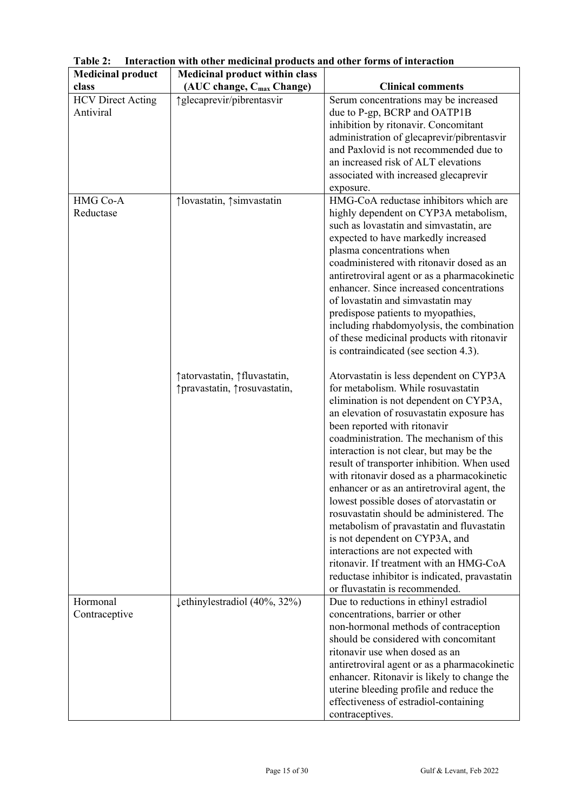| <b>Medicinal product</b> | <b>Medicinal product within class</b>    |                                                                                          |
|--------------------------|------------------------------------------|------------------------------------------------------------------------------------------|
| class                    | (AUC change, C <sub>max</sub> Change)    | <b>Clinical comments</b>                                                                 |
| <b>HCV</b> Direct Acting | ↑ glecaprevir/pibrentasvir               | Serum concentrations may be increased                                                    |
| Antiviral                |                                          | due to P-gp, BCRP and OATP1B                                                             |
|                          |                                          | inhibition by ritonavir. Concomitant                                                     |
|                          |                                          | administration of glecaprevir/pibrentasvir                                               |
|                          |                                          | and Paxlovid is not recommended due to                                                   |
|                          |                                          | an increased risk of ALT elevations                                                      |
|                          |                                          | associated with increased glecaprevir                                                    |
|                          |                                          | exposure.                                                                                |
| HMG Co-A                 | ↑lovastatin, ↑simvastatin                | HMG-CoA reductase inhibitors which are                                                   |
| Reductase                |                                          | highly dependent on CYP3A metabolism,                                                    |
|                          |                                          | such as lovastatin and simvastatin, are                                                  |
|                          |                                          | expected to have markedly increased                                                      |
|                          |                                          | plasma concentrations when                                                               |
|                          |                                          | coadministered with ritonavir dosed as an                                                |
|                          |                                          | antiretroviral agent or as a pharmacokinetic                                             |
|                          |                                          | enhancer. Since increased concentrations                                                 |
|                          |                                          | of lovastatin and simvastatin may                                                        |
|                          |                                          | predispose patients to myopathies,                                                       |
|                          |                                          | including rhabdomyolysis, the combination                                                |
|                          |                                          | of these medicinal products with ritonavir                                               |
|                          |                                          | is contraindicated (see section 4.3).                                                    |
|                          |                                          |                                                                                          |
|                          | ↑ atorvastatin, ↑ fluvastatin,           | Atorvastatin is less dependent on CYP3A                                                  |
|                          | ↑ pravastatin, ↑ rosuvastatin,           | for metabolism. While rosuvastatin                                                       |
|                          |                                          | elimination is not dependent on CYP3A,                                                   |
|                          |                                          | an elevation of rosuvastatin exposure has                                                |
|                          |                                          | been reported with ritonavir                                                             |
|                          |                                          | coadministration. The mechanism of this                                                  |
|                          |                                          | interaction is not clear, but may be the                                                 |
|                          |                                          | result of transporter inhibition. When used                                              |
|                          |                                          | with ritonavir dosed as a pharmacokinetic<br>enhancer or as an antiretroviral agent, the |
|                          |                                          | lowest possible doses of atorvastatin or                                                 |
|                          |                                          | rosuvastatin should be administered. The                                                 |
|                          |                                          | metabolism of pravastatin and fluvastatin                                                |
|                          |                                          | is not dependent on CYP3A, and                                                           |
|                          |                                          | interactions are not expected with                                                       |
|                          |                                          | ritonavir. If treatment with an HMG-CoA                                                  |
|                          |                                          | reductase inhibitor is indicated, pravastatin                                            |
|                          |                                          | or fluvastatin is recommended.                                                           |
| Hormonal                 | $\downarrow$ ethinylestradiol (40%, 32%) | Due to reductions in ethinyl estradiol                                                   |
| Contraceptive            |                                          | concentrations, barrier or other                                                         |
|                          |                                          | non-hormonal methods of contraception                                                    |
|                          |                                          | should be considered with concomitant                                                    |
|                          |                                          | ritonavir use when dosed as an                                                           |
|                          |                                          | antiretroviral agent or as a pharmacokinetic                                             |
|                          |                                          | enhancer. Ritonavir is likely to change the                                              |
|                          |                                          | uterine bleeding profile and reduce the                                                  |
|                          |                                          | effectiveness of estradiol-containing                                                    |
|                          |                                          | contraceptives.                                                                          |

**Table 2: Interaction with other medicinal products and other forms of interaction**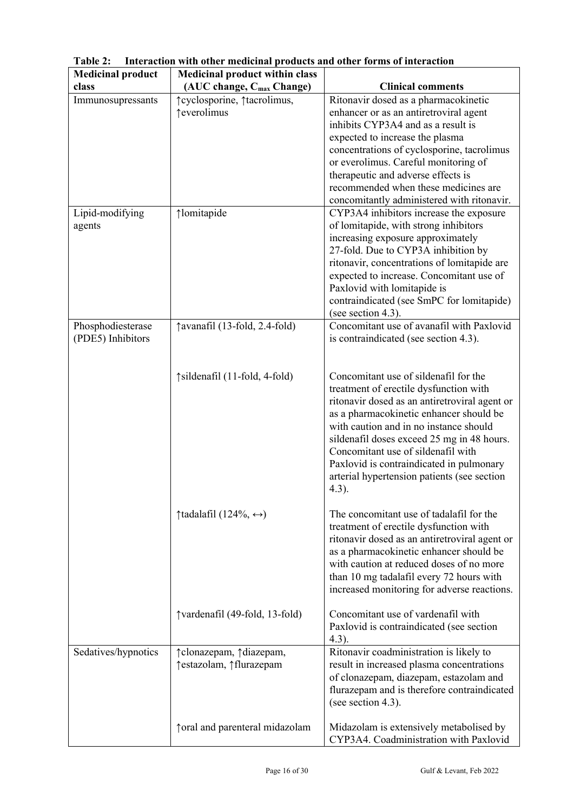| <b>Medicinal product</b> | <b>Medicinal product within class</b>           |                                                                                   |
|--------------------------|-------------------------------------------------|-----------------------------------------------------------------------------------|
| class                    | (AUC change, C <sub>max</sub> Change)           | <b>Clinical comments</b>                                                          |
| Immunosupressants        | îcyclosporine, îtacrolimus,                     | Ritonavir dosed as a pharmacokinetic                                              |
|                          | ↑ everolimus                                    | enhancer or as an antiretroviral agent                                            |
|                          |                                                 | inhibits CYP3A4 and as a result is                                                |
|                          |                                                 | expected to increase the plasma                                                   |
|                          |                                                 | concentrations of cyclosporine, tacrolimus                                        |
|                          |                                                 | or everolimus. Careful monitoring of                                              |
|                          |                                                 | therapeutic and adverse effects is                                                |
|                          |                                                 | recommended when these medicines are                                              |
|                          |                                                 | concomitantly administered with ritonavir.                                        |
| Lipid-modifying          | ↑lomitapide                                     | CYP3A4 inhibitors increase the exposure                                           |
| agents                   |                                                 | of lomitapide, with strong inhibitors                                             |
|                          |                                                 | increasing exposure approximately                                                 |
|                          |                                                 | 27-fold. Due to CYP3A inhibition by                                               |
|                          |                                                 | ritonavir, concentrations of lomitapide are                                       |
|                          |                                                 | expected to increase. Concomitant use of                                          |
|                          |                                                 | Paxlovid with lomitapide is                                                       |
|                          |                                                 | contraindicated (see SmPC for lomitapide)                                         |
|                          |                                                 | (see section 4.3).                                                                |
| Phosphodiesterase        | ↑ avanafil (13-fold, 2.4-fold)                  | Concomitant use of avanafil with Paxlovid                                         |
| (PDE5) Inhibitors        |                                                 | is contraindicated (see section 4.3).                                             |
|                          |                                                 |                                                                                   |
|                          |                                                 |                                                                                   |
|                          | ↑ sildenafil (11-fold, 4-fold)                  | Concomitant use of sildenafil for the                                             |
|                          |                                                 | treatment of erectile dysfunction with                                            |
|                          |                                                 | ritonavir dosed as an antiretroviral agent or                                     |
|                          |                                                 | as a pharmacokinetic enhancer should be                                           |
|                          |                                                 | with caution and in no instance should                                            |
|                          |                                                 | sildenafil doses exceed 25 mg in 48 hours.                                        |
|                          |                                                 | Concomitant use of sildenafil with                                                |
|                          |                                                 | Paxlovid is contraindicated in pulmonary                                          |
|                          |                                                 | arterial hypertension patients (see section                                       |
|                          |                                                 | $4.3$ ).                                                                          |
|                          |                                                 |                                                                                   |
|                          | $\uparrow$ tadalafil (124%, $\leftrightarrow$ ) | The concomitant use of tadalafil for the                                          |
|                          |                                                 | treatment of erectile dysfunction with                                            |
|                          |                                                 | ritonavir dosed as an antiretroviral agent or                                     |
|                          |                                                 | as a pharmacokinetic enhancer should be                                           |
|                          |                                                 | with caution at reduced doses of no more                                          |
|                          |                                                 | than 10 mg tadalafil every 72 hours with                                          |
|                          |                                                 | increased monitoring for adverse reactions.                                       |
|                          |                                                 |                                                                                   |
|                          | ↑vardenafil (49-fold, 13-fold)                  | Concomitant use of vardenafil with                                                |
|                          |                                                 | Paxlovid is contraindicated (see section                                          |
|                          |                                                 | (4.3).                                                                            |
| Sedatives/hypnotics      | ↑ clonazepam, ↑ diazepam,                       | Ritonavir coadministration is likely to                                           |
|                          | ↑estazolam, ↑ flurazepam                        | result in increased plasma concentrations                                         |
|                          |                                                 | of clonazepam, diazepam, estazolam and                                            |
|                          |                                                 | flurazepam and is therefore contraindicated                                       |
|                          |                                                 | (see section 4.3).                                                                |
|                          |                                                 |                                                                                   |
|                          | ↑ oral and parenteral midazolam                 | Midazolam is extensively metabolised by<br>CYP3A4. Coadministration with Paxlovid |
|                          |                                                 |                                                                                   |

**Table 2: Interaction with other medicinal products and other forms of interaction**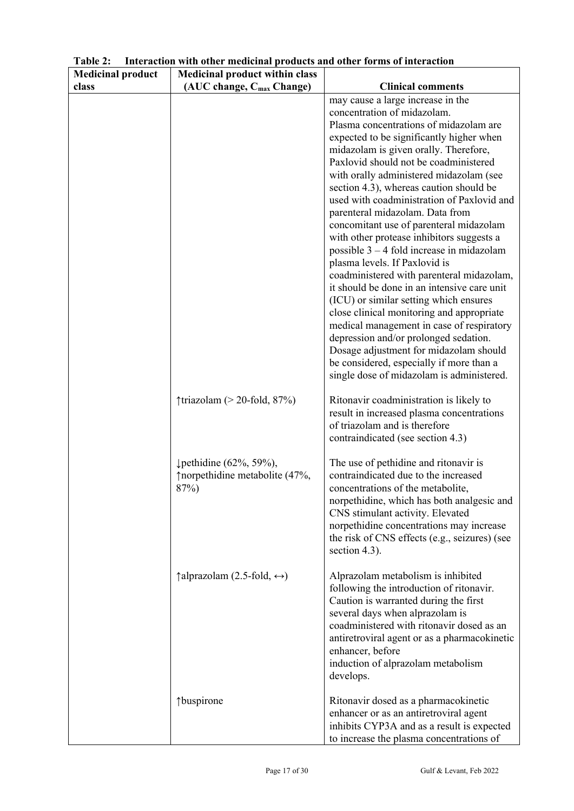| <b>Medicinal product</b> | <b>Medicinal product within class</b>                              |                                                                                                                                                                                                                                                                                                                                |  |  |
|--------------------------|--------------------------------------------------------------------|--------------------------------------------------------------------------------------------------------------------------------------------------------------------------------------------------------------------------------------------------------------------------------------------------------------------------------|--|--|
| class                    | (AUC change, C <sub>max</sub> Change)                              | <b>Clinical comments</b>                                                                                                                                                                                                                                                                                                       |  |  |
|                          |                                                                    | may cause a large increase in the<br>concentration of midazolam.<br>Plasma concentrations of midazolam are                                                                                                                                                                                                                     |  |  |
|                          |                                                                    | expected to be significantly higher when<br>midazolam is given orally. Therefore,                                                                                                                                                                                                                                              |  |  |
|                          |                                                                    | Paxlovid should not be coadministered<br>with orally administered midazolam (see                                                                                                                                                                                                                                               |  |  |
|                          |                                                                    | section 4.3), whereas caution should be<br>used with coadministration of Paxlovid and                                                                                                                                                                                                                                          |  |  |
|                          |                                                                    | parenteral midazolam. Data from<br>concomitant use of parenteral midazolam                                                                                                                                                                                                                                                     |  |  |
|                          |                                                                    | with other protease inhibitors suggests a<br>possible 3 - 4 fold increase in midazolam<br>plasma levels. If Paxlovid is                                                                                                                                                                                                        |  |  |
|                          |                                                                    | coadministered with parenteral midazolam,<br>it should be done in an intensive care unit                                                                                                                                                                                                                                       |  |  |
|                          |                                                                    | (ICU) or similar setting which ensures<br>close clinical monitoring and appropriate<br>medical management in case of respiratory<br>depression and/or prolonged sedation.<br>Dosage adjustment for midazolam should<br>be considered, especially if more than a<br>single dose of midazolam is administered.                   |  |  |
|                          | $\uparrow$ triazolam (> 20-fold, 87%)                              | Ritonavir coadministration is likely to                                                                                                                                                                                                                                                                                        |  |  |
|                          |                                                                    | result in increased plasma concentrations<br>of triazolam and is therefore<br>contraindicated (see section 4.3)                                                                                                                                                                                                                |  |  |
|                          | ↓ pethidine (62%, 59%),<br>↑ norpethidine metabolite (47%,<br>87%) | The use of pethidine and ritonavir is<br>contraindicated due to the increased<br>concentrations of the metabolite,<br>norpethidine, which has both analgesic and<br>CNS stimulant activity. Elevated<br>norpethidine concentrations may increase<br>the risk of CNS effects (e.g., seizures) (see<br>section 4.3).             |  |  |
|                          | $\uparrow$ alprazolam (2.5-fold, $\leftrightarrow$ )               | Alprazolam metabolism is inhibited<br>following the introduction of ritonavir.<br>Caution is warranted during the first<br>several days when alprazolam is<br>coadministered with ritonavir dosed as an<br>antiretroviral agent or as a pharmacokinetic<br>enhancer, before<br>induction of alprazolam metabolism<br>develops. |  |  |
|                          | ↑buspirone                                                         | Ritonavir dosed as a pharmacokinetic<br>enhancer or as an antiretroviral agent<br>inhibits CYP3A and as a result is expected<br>to increase the plasma concentrations of                                                                                                                                                       |  |  |

**Table 2: Interaction with other medicinal products and other forms of interaction**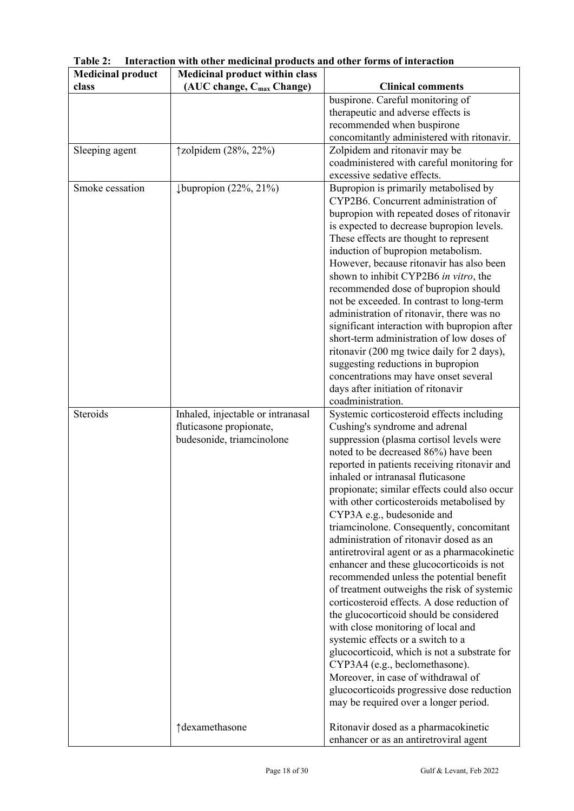| <b>Medicinal product</b> | <b>Medicinal product within class</b> |                                                                                     |
|--------------------------|---------------------------------------|-------------------------------------------------------------------------------------|
| class                    | (AUC change, C <sub>max</sub> Change) | <b>Clinical comments</b>                                                            |
|                          |                                       | buspirone. Careful monitoring of                                                    |
|                          |                                       | therapeutic and adverse effects is                                                  |
|                          |                                       | recommended when buspirone                                                          |
|                          |                                       | concomitantly administered with ritonavir.                                          |
| Sleeping agent           | †zolpidem (28%, 22%)                  | Zolpidem and ritonavir may be                                                       |
|                          |                                       | coadministered with careful monitoring for                                          |
|                          |                                       | excessive sedative effects.                                                         |
| Smoke cessation          | $\downarrow$ bupropion (22%, 21%)     | Bupropion is primarily metabolised by                                               |
|                          |                                       | CYP2B6. Concurrent administration of                                                |
|                          |                                       | bupropion with repeated doses of ritonavir                                          |
|                          |                                       | is expected to decrease bupropion levels.                                           |
|                          |                                       | These effects are thought to represent                                              |
|                          |                                       | induction of bupropion metabolism.                                                  |
|                          |                                       | However, because ritonavir has also been                                            |
|                          |                                       | shown to inhibit CYP2B6 in vitro, the                                               |
|                          |                                       | recommended dose of bupropion should                                                |
|                          |                                       | not be exceeded. In contrast to long-term                                           |
|                          |                                       | administration of ritonavir, there was no                                           |
|                          |                                       | significant interaction with bupropion after                                        |
|                          |                                       | short-term administration of low doses of                                           |
|                          |                                       | ritonavir (200 mg twice daily for 2 days),                                          |
|                          |                                       | suggesting reductions in bupropion                                                  |
|                          |                                       | concentrations may have onset several                                               |
|                          |                                       | days after initiation of ritonavir                                                  |
|                          |                                       | coadministration.                                                                   |
| Steroids                 | Inhaled, injectable or intranasal     | Systemic corticosteroid effects including                                           |
|                          | fluticasone propionate,               | Cushing's syndrome and adrenal                                                      |
|                          | budesonide, triamcinolone             | suppression (plasma cortisol levels were                                            |
|                          |                                       | noted to be decreased 86%) have been                                                |
|                          |                                       | reported in patients receiving ritonavir and<br>inhaled or intranasal fluticasone   |
|                          |                                       |                                                                                     |
|                          |                                       | propionate; similar effects could also occur                                        |
|                          |                                       | with other corticosteroids metabolised by<br>CYP3A e.g., budesonide and             |
|                          |                                       |                                                                                     |
|                          |                                       | triamcinolone. Consequently, concomitant<br>administration of ritonavir dosed as an |
|                          |                                       | antiretroviral agent or as a pharmacokinetic                                        |
|                          |                                       | enhancer and these glucocorticoids is not                                           |
|                          |                                       | recommended unless the potential benefit                                            |
|                          |                                       | of treatment outweighs the risk of systemic                                         |
|                          |                                       | corticosteroid effects. A dose reduction of                                         |
|                          |                                       | the glucocorticoid should be considered                                             |
|                          |                                       | with close monitoring of local and                                                  |
|                          |                                       | systemic effects or a switch to a                                                   |
|                          |                                       | glucocorticoid, which is not a substrate for                                        |
|                          |                                       | CYP3A4 (e.g., beclomethasone).                                                      |
|                          |                                       | Moreover, in case of withdrawal of                                                  |
|                          |                                       | glucocorticoids progressive dose reduction                                          |
|                          |                                       | may be required over a longer period.                                               |
|                          |                                       |                                                                                     |
|                          | ↑dexamethasone                        | Ritonavir dosed as a pharmacokinetic                                                |
|                          |                                       | enhancer or as an antiretroviral agent                                              |

**Table 2: Interaction with other medicinal products and other forms of interaction**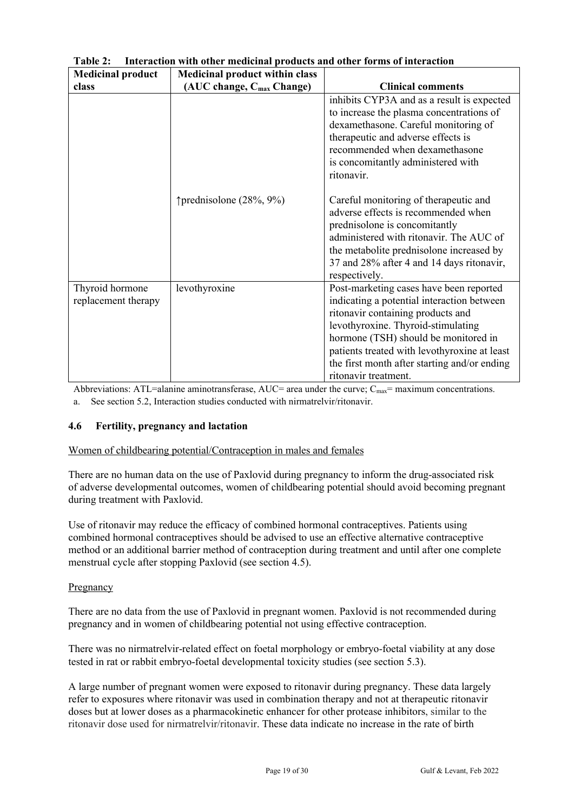| <b>Medicinal product</b>               | <b>Medicinal product within class</b> |                                                                                                                                                                                                                                                                                                                                  |
|----------------------------------------|---------------------------------------|----------------------------------------------------------------------------------------------------------------------------------------------------------------------------------------------------------------------------------------------------------------------------------------------------------------------------------|
| class                                  | (AUC change, C <sub>max</sub> Change) | <b>Clinical comments</b>                                                                                                                                                                                                                                                                                                         |
|                                        |                                       | inhibits CYP3A and as a result is expected<br>to increase the plasma concentrations of<br>dexamethasone. Careful monitoring of<br>therapeutic and adverse effects is<br>recommended when dexamethasone<br>is concomitantly administered with<br>ritonavir.                                                                       |
|                                        | ↑ prednisolone (28%, 9%)              | Careful monitoring of therapeutic and<br>adverse effects is recommended when<br>prednisolone is concomitantly<br>administered with ritonavir. The AUC of<br>the metabolite prednisolone increased by<br>37 and 28% after 4 and 14 days ritonavir,<br>respectively.                                                               |
| Thyroid hormone<br>replacement therapy | levothyroxine                         | Post-marketing cases have been reported<br>indicating a potential interaction between<br>ritonavir containing products and<br>levothyroxine. Thyroid-stimulating<br>hormone (TSH) should be monitored in<br>patients treated with levothyroxine at least<br>the first month after starting and/or ending<br>ritonavir treatment. |

**Table 2: Interaction with other medicinal products and other forms of interaction**

Abbreviations: ATL=alanine aminotransferase, AUC= area under the curve;  $C_{\text{max}}$ = maximum concentrations. a. See section 5.2, Interaction studies conducted with nirmatrelvir/ritonavir.

# **4.6 Fertility, pregnancy and lactation**

# Women of childbearing potential/Contraception in males and females

There are no human data on the use of Paxlovid during pregnancy to inform the drug-associated risk of adverse developmental outcomes, women of childbearing potential should avoid becoming pregnant during treatment with Paxlovid.

Use of ritonavir may reduce the efficacy of combined hormonal contraceptives. Patients using combined hormonal contraceptives should be advised to use an effective alternative contraceptive method or an additional barrier method of contraception during treatment and until after one complete menstrual cycle after stopping Paxlovid (see section 4.5).

# Pregnancy

There are no data from the use of Paxlovid in pregnant women. Paxlovid is not recommended during pregnancy and in women of childbearing potential not using effective contraception.

There was no nirmatrelvir-related effect on foetal morphology or embryo-foetal viability at any dose tested in rat or rabbit embryo-foetal developmental toxicity studies (see section 5.3).

A large number of pregnant women were exposed to ritonavir during pregnancy. These data largely refer to exposures where ritonavir was used in combination therapy and not at therapeutic ritonavir doses but at lower doses as a pharmacokinetic enhancer for other protease inhibitors, similar to the ritonavir dose used for nirmatrelvir/ritonavir. These data indicate no increase in the rate of birth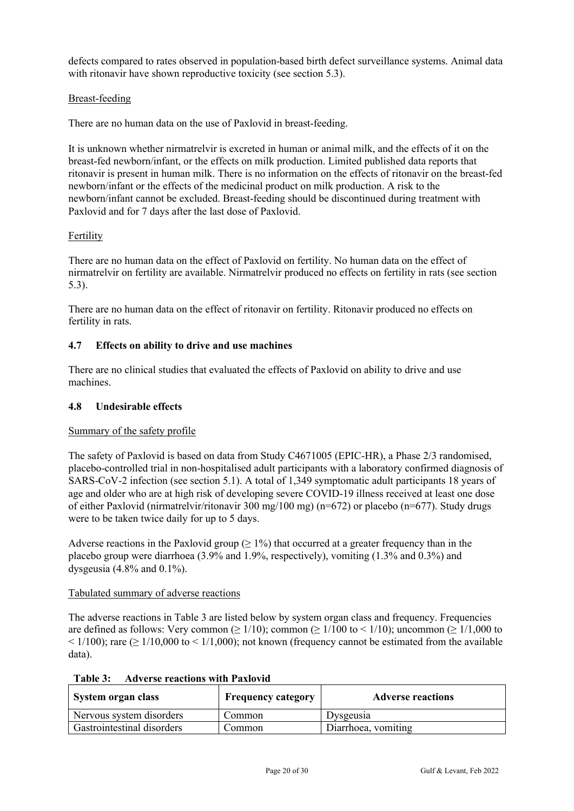defects compared to rates observed in population-based birth defect surveillance systems. Animal data with ritonavir have shown reproductive toxicity (see section 5.3).

# Breast-feeding

There are no human data on the use of Paxlovid in breast-feeding.

It is unknown whether nirmatrelvir is excreted in human or animal milk, and the effects of it on the breast-fed newborn/infant, or the effects on milk production. Limited published data reports that ritonavir is present in human milk. There is no information on the effects of ritonavir on the breast-fed newborn/infant or the effects of the medicinal product on milk production. A risk to the newborn/infant cannot be excluded. Breast-feeding should be discontinued during treatment with Paxlovid and for 7 days after the last dose of Paxlovid.

# **Fertility**

There are no human data on the effect of Paxlovid on fertility. No human data on the effect of nirmatrelvir on fertility are available. Nirmatrelvir produced no effects on fertility in rats (see section 5.3).

There are no human data on the effect of ritonavir on fertility. Ritonavir produced no effects on fertility in rats.

# **4.7 Effects on ability to drive and use machines**

There are no clinical studies that evaluated the effects of Paxlovid on ability to drive and use machines.

# **4.8 Undesirable effects**

# Summary of the safety profile

The safety of Paxlovid is based on data from Study C4671005 (EPIC-HR), a Phase 2/3 randomised, placebo-controlled trial in non-hospitalised adult participants with a laboratory confirmed diagnosis of SARS-CoV-2 infection (see section 5.1). A total of 1,349 symptomatic adult participants 18 years of age and older who are at high risk of developing severe COVID-19 illness received at least one dose of either Paxlovid (nirmatrelvir/ritonavir 300 mg/100 mg) (n=672) or placebo (n=677). Study drugs were to be taken twice daily for up to 5 days.

Adverse reactions in the Paxlovid group  $(≥ 1%)$  that occurred at a greater frequency than in the placebo group were diarrhoea (3.9% and 1.9%, respectively), vomiting (1.3% and 0.3%) and dysgeusia  $(4.8\%$  and  $0.1\%$ ).

# Tabulated summary of adverse reactions

The adverse reactions in Table 3 are listed below by system organ class and frequency. Frequencies are defined as follows: Very common ( $\geq 1/10$ ); common ( $\geq 1/100$  to  $\leq 1/10$ ); uncommon ( $\geq 1/1,000$  to  $\leq$  1/100); rare ( $\geq$  1/10,000 to  $\leq$  1/1,000); not known (frequency cannot be estimated from the available data).

| System organ class         | <b>Frequency category</b> | <b>Adverse reactions</b> |  |  |
|----------------------------|---------------------------|--------------------------|--|--|
| Nervous system disorders   | Common                    | Dysgeusia                |  |  |
| Gastrointestinal disorders | Common                    | Diarrhoea, vomiting      |  |  |

**Table 3: Adverse reactions with Paxlovid**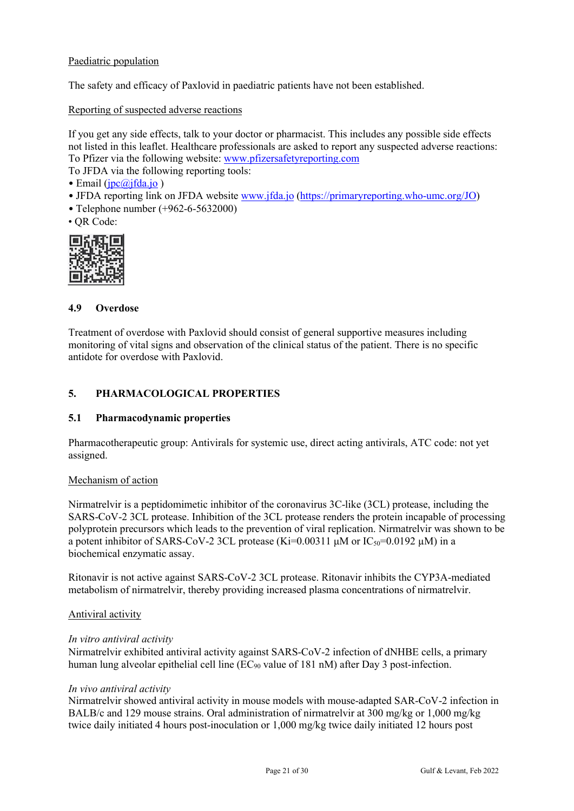# Paediatric population

The safety and efficacy of Paxlovid in paediatric patients have not been established.

Reporting of suspected adverse reactions

If you get any side effects, talk to your doctor or pharmacist. This includes any possible side effects not listed in this leaflet. Healthcare professionals are asked to report any suspected adverse reactions: To Pfizer via the following website: [www.pfizersafetyreporting.com](http://www.pfizersafetyreporting.com/)

To JFDA via the following reporting tools:

• Email  $(ipc@ifda.io)$ 

- JFDA reporting link on JFDA website [www.jfda.jo](http://www.jfda.jo/) [\(https://primaryreporting.who-umc.org/JO](https://primaryreporting.who-umc.org/JO))
- Telephone number (+962-6-5632000)
- QR Code:



# **4.9 Overdose**

Treatment of overdose with Paxlovid should consist of general supportive measures including monitoring of vital signs and observation of the clinical status of the patient. There is no specific antidote for overdose with Paxlovid.

# **5. PHARMACOLOGICAL PROPERTIES**

# **5.1 Pharmacodynamic properties**

Pharmacotherapeutic group: Antivirals for systemic use, direct acting antivirals, ATC code: not yet assigned.

# Mechanism of action

Nirmatrelvir is a peptidomimetic inhibitor of the coronavirus 3C-like (3CL) protease, including the SARS-CoV-2 3CL protease. Inhibition of the 3CL protease renders the protein incapable of processing polyprotein precursors which leads to the prevention of viral replication. Nirmatrelvir was shown to be a potent inhibitor of SARS-CoV-2 3CL protease (Ki=0.00311 μM or  $IC_{50}$ =0.0192 μM) in a biochemical enzymatic assay.

Ritonavir is not active against SARS-CoV-2 3CL protease. Ritonavir inhibits the CYP3A-mediated metabolism of nirmatrelvir, thereby providing increased plasma concentrations of nirmatrelvir.

# Antiviral activity

# *In vitro antiviral activity*

Nirmatrelvir exhibited antiviral activity against SARS-CoV-2 infection of dNHBE cells, a primary human lung alveolar epithelial cell line ( $EC_{90}$  value of 181 nM) after Day 3 post-infection.

# *In vivo antiviral activity*

Nirmatrelvir showed antiviral activity in mouse models with mouse-adapted SAR-CoV-2 infection in BALB/c and 129 mouse strains. Oral administration of nirmatrelvir at 300 mg/kg or 1,000 mg/kg twice daily initiated 4 hours post-inoculation or 1,000 mg/kg twice daily initiated 12 hours post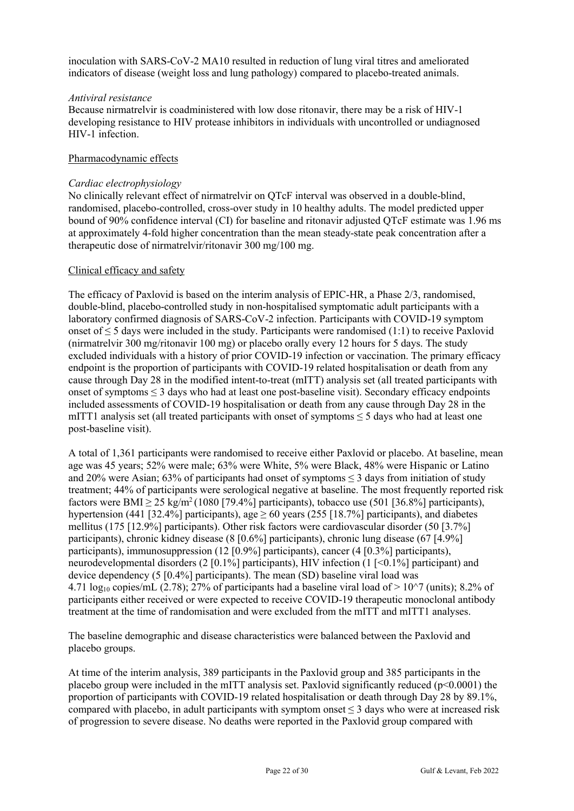inoculation with SARS-CoV-2 MA10 resulted in reduction of lung viral titres and ameliorated indicators of disease (weight loss and lung pathology) compared to placebo-treated animals.

# *Antiviral resistance*

Because nirmatrelvir is coadministered with low dose ritonavir, there may be a risk of HIV-1 developing resistance to HIV protease inhibitors in individuals with uncontrolled or undiagnosed HIV-1 infection.

# Pharmacodynamic effects

# *Cardiac electrophysiology*

No clinically relevant effect of nirmatrelvir on QTcF interval was observed in a double-blind, randomised, placebo-controlled, cross-over study in 10 healthy adults. The model predicted upper bound of 90% confidence interval (CI) for baseline and ritonavir adjusted QTcF estimate was 1.96 ms at approximately 4-fold higher concentration than the mean steady-state peak concentration after a therapeutic dose of nirmatrelvir/ritonavir 300 mg/100 mg.

# Clinical efficacy and safety

The efficacy of Paxlovid is based on the interim analysis of EPIC-HR, a Phase 2/3, randomised, double-blind, placebo-controlled study in non-hospitalised symptomatic adult participants with a laboratory confirmed diagnosis of SARS-CoV-2 infection. Participants with COVID-19 symptom onset of  $\leq$  5 days were included in the study. Participants were randomised (1:1) to receive Paxlovid (nirmatrelvir 300 mg/ritonavir 100 mg) or placebo orally every 12 hours for 5 days. The study excluded individuals with a history of prior COVID-19 infection or vaccination. The primary efficacy endpoint is the proportion of participants with COVID-19 related hospitalisation or death from any cause through Day 28 in the modified intent-to-treat (mITT) analysis set (all treated participants with onset of symptoms  $\leq$  3 days who had at least one post-baseline visit). Secondary efficacy endpoints included assessments of COVID-19 hospitalisation or death from any cause through Day 28 in the mITT1 analysis set (all treated participants with onset of symptoms  $\leq$  5 days who had at least one post-baseline visit).

A total of 1,361 participants were randomised to receive either Paxlovid or placebo. At baseline, mean age was 45 years; 52% were male; 63% were White, 5% were Black, 48% were Hispanic or Latino and 20% were Asian; 63% of participants had onset of symptoms  $\leq$  3 days from initiation of study treatment; 44% of participants were serological negative at baseline. The most frequently reported risk factors were BMI  $\geq$  25 kg/m<sup>2</sup> (1080 [79.4%] participants), tobacco use (501 [36.8%] participants), hypertension (441 [32.4%] participants), age  $\geq 60$  years (255 [18.7%] participants), and diabetes mellitus (175 [12.9%] participants). Other risk factors were cardiovascular disorder (50 [3.7%] participants), chronic kidney disease (8 [0.6%] participants), chronic lung disease (67 [4.9%] participants), immunosuppression (12 [0.9%] participants), cancer (4 [0.3%] participants), neurodevelopmental disorders (2 [0.1%] participants), HIV infection (1 [<0.1%] participant) and device dependency (5 [0.4%] participants). The mean (SD) baseline viral load was 4.71  $\log_{10}$  copies/mL (2.78); 27% of participants had a baseline viral load of  $> 10^{\circ}$  (units); 8.2% of participants either received or were expected to receive COVID-19 therapeutic monoclonal antibody treatment at the time of randomisation and were excluded from the mITT and mITT1 analyses.

The baseline demographic and disease characteristics were balanced between the Paxlovid and placebo groups.

At time of the interim analysis, 389 participants in the Paxlovid group and 385 participants in the placebo group were included in the mITT analysis set. Paxlovid significantly reduced ( $p<0.0001$ ) the proportion of participants with COVID-19 related hospitalisation or death through Day 28 by 89.1%, compared with placebo, in adult participants with symptom onset  $\leq$  3 days who were at increased risk of progression to severe disease. No deaths were reported in the Paxlovid group compared with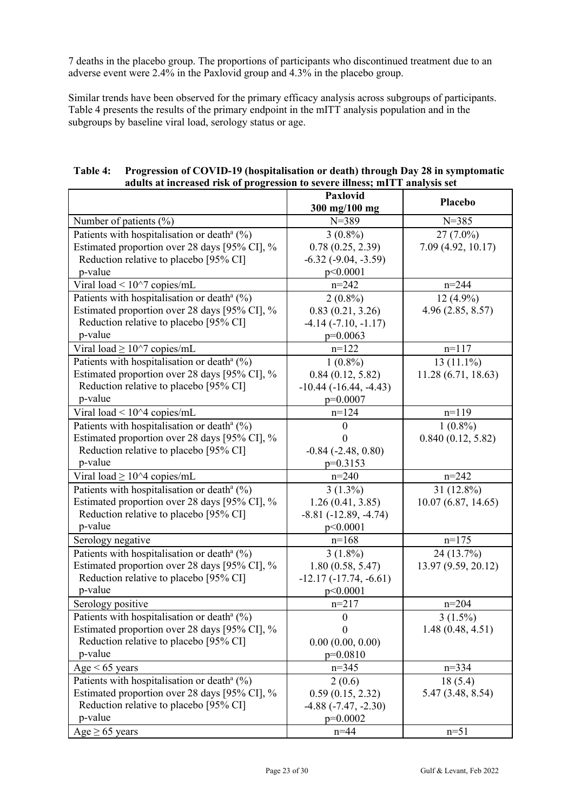7 deaths in the placebo group. The proportions of participants who discontinued treatment due to an adverse event were 2.4% in the Paxlovid group and 4.3% in the placebo group.

Similar trends have been observed for the primary efficacy analysis across subgroups of participants. Table 4 presents the results of the primary endpoint in the mITT analysis population and in the subgroups by baseline viral load, serology status or age.

| Table 4: Progression of COVID-19 (hospitalisation or death) through Day 28 in symptomatic |
|-------------------------------------------------------------------------------------------|
| adults at increased risk of progression to severe illness; mITT analysis set              |

|                                                            | Paxlovid<br>300 mg/100 mg       | Placebo             |
|------------------------------------------------------------|---------------------------------|---------------------|
| Number of patients (%)                                     | $N = 389$                       | $N = 385$           |
| Patients with hospitalisation or death <sup>a</sup> (%)    | $3(0.8\%)$                      | $27(7.0\%)$         |
| Estimated proportion over 28 days [95% CI], %              | 0.78(0.25, 2.39)                | 7.09 (4.92, 10.17)  |
| Reduction relative to placebo [95% CI]                     | $-6.32$ $(-9.04, -3.59)$        |                     |
| p-value                                                    | p<0.0001                        |                     |
| Viral load < $10^{27}$ copies/mL                           | $n = 242$                       | $n = 244$           |
| Patients with hospitalisation or death <sup>a</sup> $(\%)$ | $2(0.8\%)$                      | $12(4.9\%)$         |
| Estimated proportion over 28 days [95% CI], %              | 0.83(0.21, 3.26)                | 4.96(2.85, 8.57)    |
| Reduction relative to placebo [95% CI]                     | $-4.14$ $(-7.10, -1.17)$        |                     |
| p-value                                                    | $p=0.0063$                      |                     |
| Viral load $\geq 10^{\wedge}7$ copies/mL                   | $n=122$                         | $n=117$             |
| Patients with hospitalisation or death <sup>a</sup> $(\%)$ | $1(0.8\%)$                      | $13(11.1\%)$        |
| Estimated proportion over 28 days [95% CI], %              | 0.84(0.12, 5.82)                | 11.28(6.71, 18.63)  |
| Reduction relative to placebo [95% CI]                     | $-10.44$ ( $-16.44$ , $-4.43$ ) |                     |
| p-value                                                    | $p=0.0007$                      |                     |
| Viral load $\leq 10^{4}$ copies/mL                         | $n=124$                         | $n=119$             |
| Patients with hospitalisation or death <sup>a</sup> $(\%)$ | $\theta$                        | $1(0.8\%)$          |
| Estimated proportion over 28 days [95% CI], %              |                                 | 0.840(0.12, 5.82)   |
| Reduction relative to placebo [95% CI]                     | $-0.84$ $(-2.48, 0.80)$         |                     |
| p-value                                                    | $p=0.3153$                      |                     |
| Viral load $\geq 10^{\wedge}4$ copies/mL                   | $n = 240$                       | $n = 242$           |
| Patients with hospitalisation or death <sup>a</sup> $(\%)$ | $3(1.3\%)$                      | $31(12.8\%)$        |
| Estimated proportion over 28 days [95% CI], %              | 1.26(0.41, 3.85)                | 10.07(6.87, 14.65)  |
| Reduction relative to placebo [95% CI]                     | $-8.81(-12.89, -4.74)$          |                     |
| p-value                                                    | p<0.0001                        |                     |
| Serology negative                                          | $n=168$                         | $n=175$             |
| Patients with hospitalisation or death <sup>a</sup> $(\%)$ | $3(1.8\%)$                      | 24 (13.7%)          |
| Estimated proportion over 28 days [95% CI], %              | 1.80(0.58, 5.47)                | 13.97 (9.59, 20.12) |
| Reduction relative to placebo [95% CI]                     | $-12.17(-17.74, -6.61)$         |                     |
| p-value                                                    | p<0.0001                        |                     |
| Serology positive                                          | $n=217$                         | $n=204$             |
| Patients with hospitalisation or death <sup>a</sup> $(%)$  | $\boldsymbol{0}$                | $3(1.5\%)$          |
| Estimated proportion over 28 days [95% CI], %              | $\boldsymbol{0}$                | 1.48(0.48, 4.51)    |
| Reduction relative to placebo [95% CI]                     | 0.00(0.00, 0.00)                |                     |
| p-value                                                    | $p=0.0810$                      |                     |
| $Age < 65$ years                                           | $n=345$                         | $n = 334$           |
| Patients with hospitalisation or death <sup>a</sup> $(\%)$ | 2(0.6)                          | 18(5.4)             |
| Estimated proportion over 28 days [95% CI], %              | 0.59(0.15, 2.32)                | 5.47 (3.48, 8.54)   |
| Reduction relative to placebo [95% CI]                     | $-4.88(-7.47, -2.30)$           |                     |
| p-value                                                    | $p=0.0002$                      |                     |
| Age $\geq 65$ years                                        | $n = 44$                        | $n=51$              |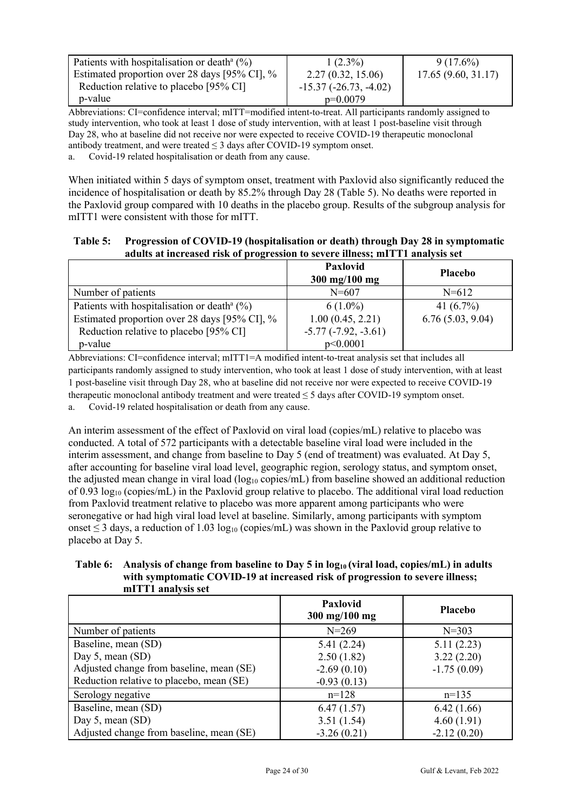| Patients with hospitalisation or death <sup>a</sup> $(\%)$ | $1(2.3\%)$              | $9(17.6\%)$        |
|------------------------------------------------------------|-------------------------|--------------------|
| Estimated proportion over 28 days [95% CI], %              | 2.27(0.32, 15.06)       | 17.65(9.60, 31.17) |
| Reduction relative to placebo [95% CI]                     | $-15.37(-26.73, -4.02)$ |                    |
| p-value                                                    | $p=0.0079$              |                    |

Abbreviations: CI=confidence interval; mITT=modified intent-to-treat. All participants randomly assigned to study intervention, who took at least 1 dose of study intervention, with at least 1 post-baseline visit through Day 28, who at baseline did not receive nor were expected to receive COVID-19 therapeutic monoclonal antibody treatment, and were treated  $\leq$  3 days after COVID-19 symptom onset.

a. Covid-19 related hospitalisation or death from any cause.

When initiated within 5 days of symptom onset, treatment with Paxlovid also significantly reduced the incidence of hospitalisation or death by 85.2% through Day 28 (Table 5). No deaths were reported in the Paxlovid group compared with 10 deaths in the placebo group. Results of the subgroup analysis for mITT1 were consistent with those for mITT.

# **Table 5: Progression of COVID-19 (hospitalisation or death) through Day 28 in symptomatic adults at increased risk of progression to severe illness; mITT1 analysis set**

|                                                                                                                                                                 | Paxlovid<br>$300 \; \text{mg}/100 \; \text{mg}$                     | <b>Placebo</b>                   |
|-----------------------------------------------------------------------------------------------------------------------------------------------------------------|---------------------------------------------------------------------|----------------------------------|
| Number of patients                                                                                                                                              | $N = 607$                                                           | $N = 612$                        |
| Patients with hospitalisation or death <sup>a</sup> $(%)$<br>Estimated proportion over 28 days [95% CI], %<br>Reduction relative to placebo [95% CI]<br>p-value | $6(1.0\%)$<br>1.00(0.45, 2.21)<br>$-5.77(-7.92, -3.61)$<br>p<0.0001 | 41 $(6.7\%)$<br>6.76(5.03, 9.04) |

Abbreviations: CI=confidence interval; mITT1=A modified intent-to-treat analysis set that includes all participants randomly assigned to study intervention, who took at least 1 dose of study intervention, with at least 1 post-baseline visit through Day 28, who at baseline did not receive nor were expected to receive COVID-19 therapeutic monoclonal antibody treatment and were treated ≤ 5 days after COVID-19 symptom onset.

a. Covid-19 related hospitalisation or death from any cause.

An interim assessment of the effect of Paxlovid on viral load (copies/mL) relative to placebo was conducted. A total of 572 participants with a detectable baseline viral load were included in the interim assessment, and change from baseline to Day 5 (end of treatment) was evaluated. At Day 5, after accounting for baseline viral load level, geographic region, serology status, and symptom onset, the adjusted mean change in viral load (log<sub>10</sub> copies/mL) from baseline showed an additional reduction of 0.93  $log_{10}$  (copies/mL) in the Paxlovid group relative to placebo. The additional viral load reduction from Paxlovid treatment relative to placebo was more apparent among participants who were seronegative or had high viral load level at baseline. Similarly, among participants with symptom onset  $\leq$  3 days, a reduction of 1.03 log<sub>10</sub> (copies/mL) was shown in the Paxlovid group relative to placebo at Day 5.

**Table 6: Analysis of change from baseline to Day 5 in log10 (viral load, copies/mL) in adults with symptomatic COVID-19 at increased risk of progression to severe illness; mITT1 analysis set**

|                                          | <b>Paxlovid</b><br>$300 \text{ mg}/100 \text{ mg}$ | <b>Placebo</b> |
|------------------------------------------|----------------------------------------------------|----------------|
| Number of patients                       | $N = 269$                                          | $N = 303$      |
| Baseline, mean (SD)                      | 5.41(2.24)                                         | 5.11(2.23)     |
| Day 5, mean $(SD)$                       | 2.50(1.82)                                         | 3.22(2.20)     |
| Adjusted change from baseline, mean (SE) | $-2.69(0.10)$                                      | $-1.75(0.09)$  |
| Reduction relative to placebo, mean (SE) | $-0.93(0.13)$                                      |                |
| Serology negative                        | $n=128$                                            | $n=135$        |
| Baseline, mean (SD)                      | 6.47(1.57)                                         | 6.42(1.66)     |
| Day 5, mean $(SD)$                       | 3.51(1.54)                                         | 4.60(1.91)     |
| Adjusted change from baseline, mean (SE) | $-3.26(0.21)$                                      | $-2.12(0.20)$  |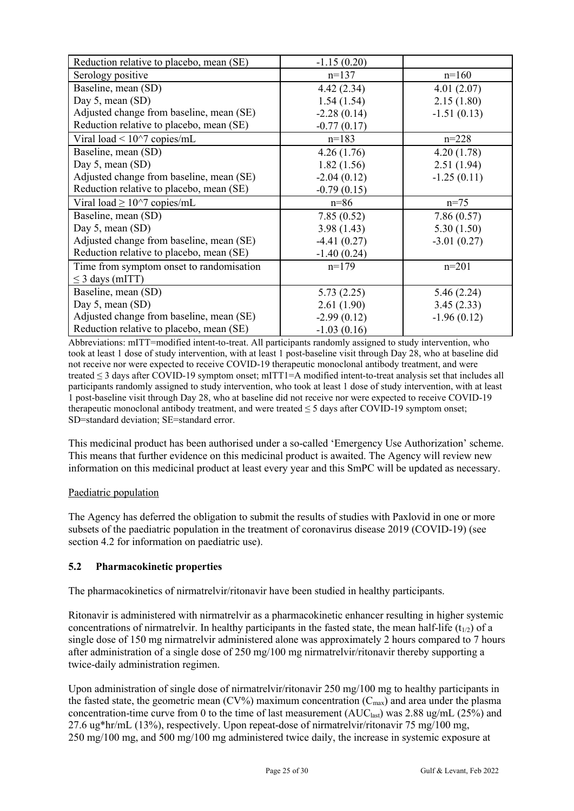| Reduction relative to placebo, mean (SE) | $-1.15(0.20)$ |               |
|------------------------------------------|---------------|---------------|
| Serology positive                        | $n=137$       | $n=160$       |
| Baseline, mean (SD)                      | 4.42(2.34)    | 4.01(2.07)    |
| Day 5, mean $(SD)$                       | 1.54(1.54)    | 2.15(1.80)    |
| Adjusted change from baseline, mean (SE) | $-2.28(0.14)$ | $-1.51(0.13)$ |
| Reduction relative to placebo, mean (SE) | $-0.77(0.17)$ |               |
| Viral load $\leq 10^{27}$ copies/mL      | $n=183$       | $n = 228$     |
| Baseline, mean (SD)                      | 4.26(1.76)    | 4.20(1.78)    |
| Day 5, mean $(SD)$                       | 1.82(1.56)    | 2.51(1.94)    |
| Adjusted change from baseline, mean (SE) | $-2.04(0.12)$ | $-1.25(0.11)$ |
| Reduction relative to placebo, mean (SE) | $-0.79(0.15)$ |               |
|                                          |               |               |
| Viral load $\geq 10^{\circ}$ copies/mL   | $n = 86$      | $n = 75$      |
| Baseline, mean (SD)                      | 7.85(0.52)    | 7.86(0.57)    |
| Day 5, mean $(SD)$                       | 3.98(1.43)    | 5.30(1.50)    |
| Adjusted change from baseline, mean (SE) | $-4.41(0.27)$ | $-3.01(0.27)$ |
| Reduction relative to placebo, mean (SE) | $-1.40(0.24)$ |               |
| Time from symptom onset to randomisation | $n=179$       | $n=201$       |
| $\leq$ 3 days (mITT)                     |               |               |
| Baseline, mean (SD)                      | 5.73(2.25)    | 5.46(2.24)    |
| Day 5, mean $(SD)$                       | 2.61(1.90)    | 3.45(2.33)    |
| Adjusted change from baseline, mean (SE) | $-2.99(0.12)$ | $-1.96(0.12)$ |

Abbreviations: mITT=modified intent-to-treat. All participants randomly assigned to study intervention, who took at least 1 dose of study intervention, with at least 1 post-baseline visit through Day 28, who at baseline did not receive nor were expected to receive COVID-19 therapeutic monoclonal antibody treatment, and were treated ≤ 3 days after COVID-19 symptom onset; mITT1=A modified intent-to-treat analysis set that includes all participants randomly assigned to study intervention, who took at least 1 dose of study intervention, with at least 1 post-baseline visit through Day 28, who at baseline did not receive nor were expected to receive COVID-19 therapeutic monoclonal antibody treatment, and were treated ≤ 5 days after COVID-19 symptom onset; SD=standard deviation; SE=standard error.

This medicinal product has been authorised under a so-called 'Emergency Use Authorization' scheme. This means that further evidence on this medicinal product is awaited. The Agency will review new information on this medicinal product at least every year and this SmPC will be updated as necessary.

# Paediatric population

The Agency has deferred the obligation to submit the results of studies with Paxlovid in one or more subsets of the paediatric population in the treatment of coronavirus disease 2019 (COVID-19) (see section 4.2 for information on paediatric use).

# **5.2 Pharmacokinetic properties**

The pharmacokinetics of nirmatrelvir/ritonavir have been studied in healthy participants.

Ritonavir is administered with nirmatrelvir as a pharmacokinetic enhancer resulting in higher systemic concentrations of nirmatrelvir. In healthy participants in the fasted state, the mean half-life  $(t_{1/2})$  of a single dose of 150 mg nirmatrelvir administered alone was approximately 2 hours compared to 7 hours after administration of a single dose of 250 mg/100 mg nirmatrelvir/ritonavir thereby supporting a twice-daily administration regimen.

Upon administration of single dose of nirmatrelvir/ritonavir 250 mg/100 mg to healthy participants in the fasted state, the geometric mean  $(CV%)$  maximum concentration  $(C_{\text{max}})$  and area under the plasma concentration-time curve from 0 to the time of last measurement  $(AUC<sub>last</sub>)$  was 2.88 ug/mL (25%) and 27.6 ug\*hr/mL (13%), respectively. Upon repeat-dose of nirmatrelvir/ritonavir 75 mg/100 mg, 250 mg/100 mg, and 500 mg/100 mg administered twice daily, the increase in systemic exposure at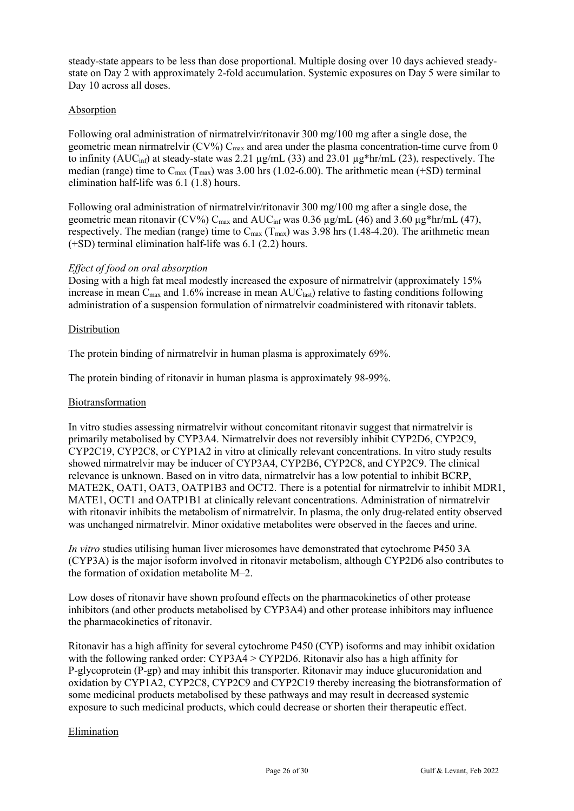steady-state appears to be less than dose proportional. Multiple dosing over 10 days achieved steadystate on Day 2 with approximately 2-fold accumulation. Systemic exposures on Day 5 were similar to Day 10 across all doses.

# Absorption

Following oral administration of nirmatrelvir/ritonavir 300 mg/100 mg after a single dose, the geometric mean nirmatrelvir (CV%)  $C_{\text{max}}$  and area under the plasma concentration-time curve from 0 to infinity (AUC<sub>inf</sub>) at steady-state was 2.21  $\mu$ g/mL (33) and 23.01  $\mu$ g\*hr/mL (23), respectively. The median (range) time to  $C_{\text{max}}$  (T<sub>max</sub>) was 3.00 hrs (1.02-6.00). The arithmetic mean (+SD) terminal elimination half-life was 6.1 (1.8) hours.

Following oral administration of nirmatrelvir/ritonavir 300 mg/100 mg after a single dose, the geometric mean ritonavir (CV%)  $C_{\text{max}}$  and AU $C_{\text{inf}}$  was 0.36  $\mu$ g/mL (46) and 3.60  $\mu$ g\*hr/mL (47), respectively. The median (range) time to  $C_{\text{max}}$  (T<sub>max</sub>) was 3.98 hrs (1.48-4.20). The arithmetic mean (+SD) terminal elimination half-life was 6.1 (2.2) hours.

# *Effect of food on oral absorption*

Dosing with a high fat meal modestly increased the exposure of nirmatrelvir (approximately 15% increase in mean  $C_{\text{max}}$  and 1.6% increase in mean  $AUC_{\text{last}}$ ) relative to fasting conditions following administration of a suspension formulation of nirmatrelvir coadministered with ritonavir tablets.

# **Distribution**

The protein binding of nirmatrelvir in human plasma is approximately 69%.

The protein binding of ritonavir in human plasma is approximately 98-99%.

# Biotransformation

In vitro studies assessing nirmatrelvir without concomitant ritonavir suggest that nirmatrelvir is primarily metabolised by CYP3A4. Nirmatrelvir does not reversibly inhibit CYP2D6, CYP2C9, CYP2C19, CYP2C8, or CYP1A2 in vitro at clinically relevant concentrations. In vitro study results showed nirmatrelvir may be inducer of CYP3A4, CYP2B6, CYP2C8, and CYP2C9. The clinical relevance is unknown. Based on in vitro data, nirmatrelvir has a low potential to inhibit BCRP, MATE2K, OAT1, OAT3, OATP1B3 and OCT2. There is a potential for nirmatrelvir to inhibit MDR1, MATE1, OCT1 and OATP1B1 at clinically relevant concentrations. Administration of nirmatrelvir with ritonavir inhibits the metabolism of nirmatrelvir. In plasma, the only drug-related entity observed was unchanged nirmatrelvir. Minor oxidative metabolites were observed in the faeces and urine.

*In vitro* studies utilising human liver microsomes have demonstrated that cytochrome P450 3A (CYP3A) is the major isoform involved in ritonavir metabolism, although CYP2D6 also contributes to the formation of oxidation metabolite M–2.

Low doses of ritonavir have shown profound effects on the pharmacokinetics of other protease inhibitors (and other products metabolised by CYP3A4) and other protease inhibitors may influence the pharmacokinetics of ritonavir.

Ritonavir has a high affinity for several cytochrome P450 (CYP) isoforms and may inhibit oxidation with the following ranked order: CYP3A4 > CYP2D6. Ritonavir also has a high affinity for P-glycoprotein (P-gp) and may inhibit this transporter. Ritonavir may induce glucuronidation and oxidation by CYP1A2, CYP2C8, CYP2C9 and CYP2C19 thereby increasing the biotransformation of some medicinal products metabolised by these pathways and may result in decreased systemic exposure to such medicinal products, which could decrease or shorten their therapeutic effect.

# Elimination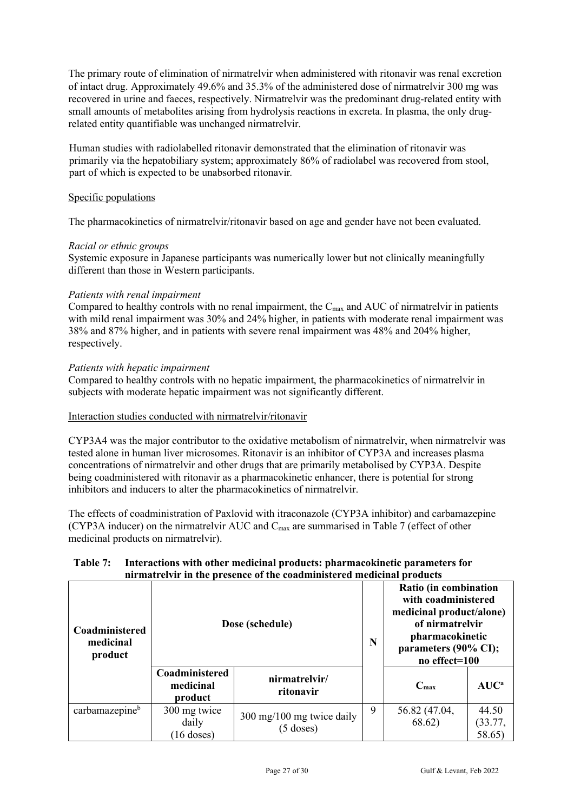The primary route of elimination of nirmatrelvir when administered with ritonavir was renal excretion of intact drug. Approximately 49.6% and 35.3% of the administered dose of nirmatrelvir 300 mg was recovered in urine and faeces, respectively. Nirmatrelvir was the predominant drug-related entity with small amounts of metabolites arising from hydrolysis reactions in excreta. In plasma, the only drugrelated entity quantifiable was unchanged nirmatrelvir.

Human studies with radiolabelled ritonavir demonstrated that the elimination of ritonavir was primarily via the hepatobiliary system; approximately 86% of radiolabel was recovered from stool, part of which is expected to be unabsorbed ritonavir*.*

# Specific populations

The pharmacokinetics of nirmatrelvir/ritonavir based on age and gender have not been evaluated.

# *Racial or ethnic groups*

Systemic exposure in Japanese participants was numerically lower but not clinically meaningfully different than those in Western participants.

#### *Patients with renal impairment*

Compared to healthy controls with no renal impairment, the  $C_{\text{max}}$  and AUC of nirmatrelvir in patients with mild renal impairment was 30% and 24% higher, in patients with moderate renal impairment was 38% and 87% higher, and in patients with severe renal impairment was 48% and 204% higher, respectively.

#### *Patients with hepatic impairment*

Compared to healthy controls with no hepatic impairment, the pharmacokinetics of nirmatrelvir in subjects with moderate hepatic impairment was not significantly different.

# Interaction studies conducted with nirmatrelvir/ritonavir

CYP3A4 was the major contributor to the oxidative metabolism of nirmatrelvir, when nirmatrelvir was tested alone in human liver microsomes. Ritonavir is an inhibitor of CYP3A and increases plasma concentrations of nirmatrelvir and other drugs that are primarily metabolised by CYP3A. Despite being coadministered with ritonavir as a pharmacokinetic enhancer, there is potential for strong inhibitors and inducers to alter the pharmacokinetics of nirmatrelvir.

The effects of coadministration of Paxlovid with itraconazole (CYP3A inhibitor) and carbamazepine (CYP3A inducer) on the nirmatrelvir AUC and Cmax are summarised in Table 7 (effect of other medicinal products on nirmatrelvir).

#### **Table 7: Interactions with other medicinal products: pharmacokinetic parameters for nirmatrelvir in the presence of the coadministered medicinal products**

| Coadministered<br>medicinal<br>product |                                        | Dose (schedule)                                            |   | Ratio (in combination<br>with coadministered<br>medicinal product/alone)<br>of nirmatrelvir<br>pharmacokinetic<br>parameters (90% CI);<br>no effect=100 |                            |
|----------------------------------------|----------------------------------------|------------------------------------------------------------|---|---------------------------------------------------------------------------------------------------------------------------------------------------------|----------------------------|
|                                        | Coadministered<br>medicinal<br>product | nirmatrelvir/<br>ritonavir                                 |   | $C_{\text{max}}$                                                                                                                                        | AUC <sup>a</sup>           |
| carbamazepine <sup>b</sup>             | 300 mg twice<br>daily<br>$(16$ doses)  | $300 \text{ mg}/100 \text{ mg}$ twice daily<br>$(5$ doses) | 9 | 56.82 (47.04,<br>68.62)                                                                                                                                 | 44.50<br>(33.77,<br>58.65) |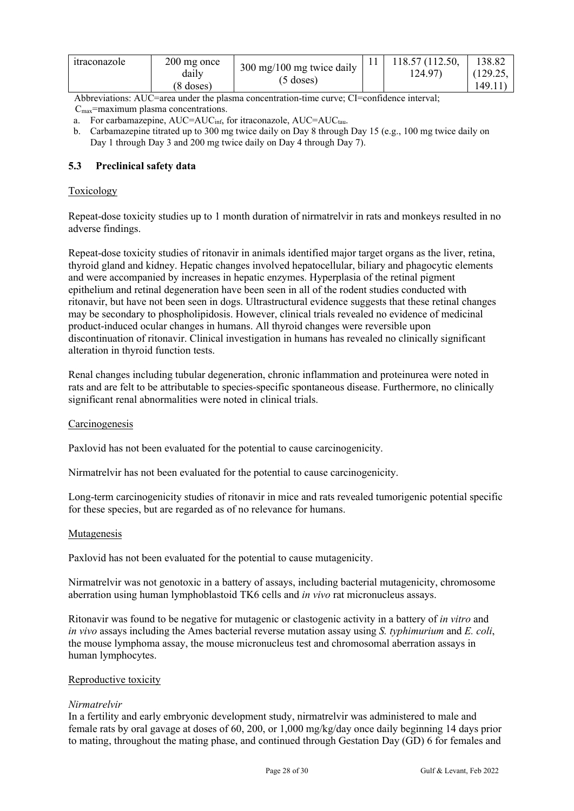| <i>s</i> traconazole | 200 mg once<br>daılv<br><sup>8</sup> doses) | 300 mg/100 mg twice daily<br>$(5$ doses) |  | 118.57 (112.50,<br>124.97) | 138.82<br>(129.25,<br>149.11 |
|----------------------|---------------------------------------------|------------------------------------------|--|----------------------------|------------------------------|
|----------------------|---------------------------------------------|------------------------------------------|--|----------------------------|------------------------------|

Abbreviations: AUC=area under the plasma concentration-time curve; CI=confidence interval;

 $C<sub>max</sub>=maximum plasma concentrations.$ 

- a. For carbamazepine, AUC=AUC<sub>inf,</sub> for itraconazole, AUC=AUC<sub>tau</sub>.
- b. Carbamazepine titrated up to 300 mg twice daily on Day 8 through Day 15 (e.g., 100 mg twice daily on Day 1 through Day 3 and 200 mg twice daily on Day 4 through Day 7).

# **5.3 Preclinical safety data**

# Toxicology

Repeat-dose toxicity studies up to 1 month duration of nirmatrelvir in rats and monkeys resulted in no adverse findings.

Repeat-dose toxicity studies of ritonavir in animals identified major target organs as the liver, retina, thyroid gland and kidney. Hepatic changes involved hepatocellular, biliary and phagocytic elements and were accompanied by increases in hepatic enzymes. Hyperplasia of the retinal pigment epithelium and retinal degeneration have been seen in all of the rodent studies conducted with ritonavir, but have not been seen in dogs. Ultrastructural evidence suggests that these retinal changes may be secondary to phospholipidosis. However, clinical trials revealed no evidence of medicinal product-induced ocular changes in humans. All thyroid changes were reversible upon discontinuation of ritonavir. Clinical investigation in humans has revealed no clinically significant alteration in thyroid function tests.

Renal changes including tubular degeneration, chronic inflammation and proteinurea were noted in rats and are felt to be attributable to species-specific spontaneous disease. Furthermore, no clinically significant renal abnormalities were noted in clinical trials.

# Carcinogenesis

Paxlovid has not been evaluated for the potential to cause carcinogenicity.

Nirmatrelvir has not been evaluated for the potential to cause carcinogenicity.

Long-term carcinogenicity studies of ritonavir in mice and rats revealed tumorigenic potential specific for these species, but are regarded as of no relevance for humans.

# Mutagenesis

Paxlovid has not been evaluated for the potential to cause mutagenicity.

Nirmatrelvir was not genotoxic in a battery of assays, including bacterial mutagenicity, chromosome aberration using human lymphoblastoid TK6 cells and *in vivo* rat micronucleus assays.

Ritonavir was found to be negative for mutagenic or clastogenic activity in a battery of *in vitro* and *in vivo* assays including the Ames bacterial reverse mutation assay using *S. typhimurium* and *E. coli*, the mouse lymphoma assay, the mouse micronucleus test and chromosomal aberration assays in human lymphocytes.

# Reproductive toxicity

# *Nirmatrelvir*

In a fertility and early embryonic development study, nirmatrelvir was administered to male and female rats by oral gavage at doses of 60, 200, or 1,000 mg/kg/day once daily beginning 14 days prior to mating, throughout the mating phase, and continued through Gestation Day (GD) 6 for females and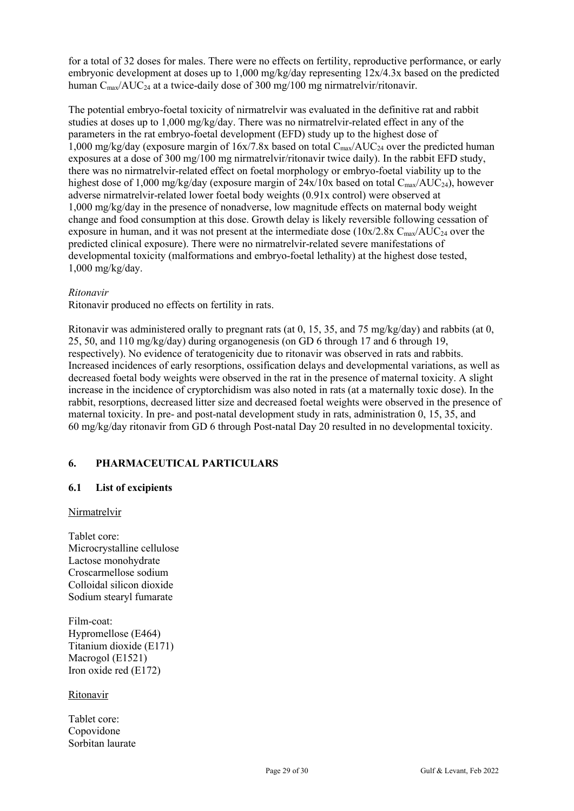for a total of 32 doses for males. There were no effects on fertility, reproductive performance, or early embryonic development at doses up to 1,000 mg/kg/day representing 12x/4.3x based on the predicted human C<sub>max</sub>/AUC<sub>24</sub> at a twice-daily dose of 300 mg/100 mg nirmatrelyir/ritonavir.

The potential embryo-foetal toxicity of nirmatrelvir was evaluated in the definitive rat and rabbit studies at doses up to  $1,000 \text{ mg/kg/day}$ . There was no nirmatrely in-related effect in any of the parameters in the rat embryo-foetal development (EFD) study up to the highest dose of 1,000 mg/kg/day (exposure margin of 16x/7.8x based on total C<sub>max</sub>/AUC<sub>24</sub> over the predicted human exposures at a dose of 300 mg/100 mg nirmatrelvir/ritonavir twice daily). In the rabbit EFD study, there was no nirmatrelvir-related effect on foetal morphology or embryo-foetal viability up to the highest dose of 1,000 mg/kg/day (exposure margin of  $24x/10x$  based on total  $C_{\text{max}}/AUC_{24}$ ), however adverse nirmatrelvir-related lower foetal body weights (0.91x control) were observed at 1,000 mg/kg/day in the presence of nonadverse, low magnitude effects on maternal body weight change and food consumption at this dose. Growth delay is likely reversible following cessation of exposure in human, and it was not present at the intermediate dose  $(10x/2.8x C_{max}/AUC_{24}$  over the predicted clinical exposure). There were no nirmatrelvir-related severe manifestations of developmental toxicity (malformations and embryo-foetal lethality) at the highest dose tested, 1,000 mg/kg/day.

# *Ritonavir*

Ritonavir produced no effects on fertility in rats.

Ritonavir was administered orally to pregnant rats (at 0, 15, 35, and 75 mg/kg/day) and rabbits (at 0, 25, 50, and 110 mg/kg/day) during organogenesis (on GD 6 through 17 and 6 through 19, respectively). No evidence of teratogenicity due to ritonavir was observed in rats and rabbits. Increased incidences of early resorptions, ossification delays and developmental variations, as well as decreased foetal body weights were observed in the rat in the presence of maternal toxicity. A slight increase in the incidence of cryptorchidism was also noted in rats (at a maternally toxic dose). In the rabbit, resorptions, decreased litter size and decreased foetal weights were observed in the presence of maternal toxicity. In pre- and post-natal development study in rats, administration 0, 15, 35, and 60 mg/kg/day ritonavir from GD 6 through Post-natal Day 20 resulted in no developmental toxicity.

# **6. PHARMACEUTICAL PARTICULARS**

# **6.1 List of excipients**

#### Nirmatrelvir

Tablet core: Microcrystalline cellulose Lactose monohydrate Croscarmellose sodium Colloidal silicon dioxide Sodium stearyl fumarate

Film-coat: Hypromellose (E464) Titanium dioxide (E171) Macrogol (E1521) Iron oxide red (E172)

Ritonavir

Tablet core: Copovidone Sorbitan laurate